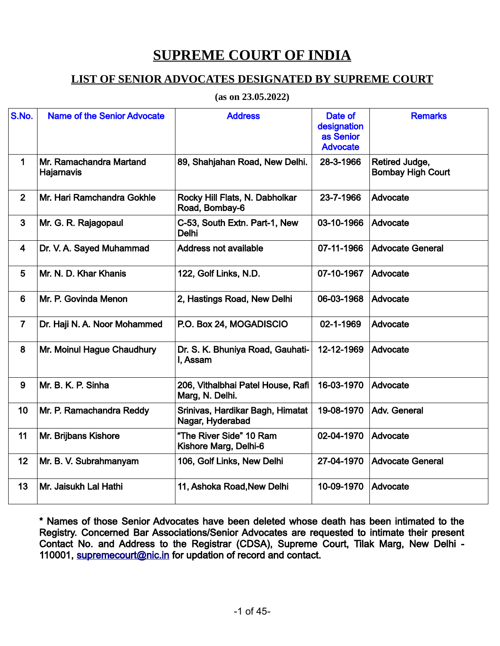## **SUPREME COURT OF INDIA**

## **LIST OF SENIOR ADVOCATES DESIGNATED BY SUPREME COURT**

**(as on 23.05.2022)**

| S.No.          | <b>Name of the Senior Advocate</b>    | <b>Address</b>                                       | Date of<br>designation<br>as Senior<br><b>Advocate</b> | <b>Remarks</b>                             |
|----------------|---------------------------------------|------------------------------------------------------|--------------------------------------------------------|--------------------------------------------|
| 1              | Mr. Ramachandra Martand<br>Hajarnavis | 89, Shahjahan Road, New Delhi.                       | 28-3-1966                                              | Retired Judge,<br><b>Bombay High Court</b> |
| $\overline{2}$ | Mr. Hari Ramchandra Gokhle            | Rocky Hill Flats, N. Dabholkar<br>Road, Bombay-6     | 23-7-1966                                              | Advocate                                   |
| 3              | Mr. G. R. Rajagopaul                  | C-53, South Extn. Part-1, New<br>Delhi               | 03-10-1966                                             | Advocate                                   |
| 4              | Dr. V. A. Sayed Muhammad              | <b>Address not available</b>                         | 07-11-1966                                             | <b>Advocate General</b>                    |
| 5              | Mr. N. D. Khar Khanis                 | 122, Golf Links, N.D.                                | 07-10-1967                                             | Advocate                                   |
| 6              | Mr. P. Govinda Menon                  | 2, Hastings Road, New Delhi                          | 06-03-1968                                             | Advocate                                   |
| $\overline{7}$ | Dr. Haji N. A. Noor Mohammed          | P.O. Box 24, MOGADISCIO                              | 02-1-1969                                              | Advocate                                   |
| 8              | Mr. Moinul Hague Chaudhury            | Dr. S. K. Bhuniya Road, Gauhati-<br>I, Assam         | 12-12-1969                                             | Advocate                                   |
| 9              | Mr. B. K. P. Sinha                    | 206, Vithalbhai Patel House, Rafi<br>Marg, N. Delhi. | 16-03-1970                                             | Advocate                                   |
| 10             | Mr. P. Ramachandra Reddy              | Srinivas, Hardikar Bagh, Himatat<br>Nagar, Hyderabad | 19-08-1970                                             | Adv. General                               |
| 11             | Mr. Brijbans Kishore                  | "The River Side" 10 Ram<br>Kishore Marg, Delhi-6     | 02-04-1970                                             | Advocate                                   |
| 12             | Mr. B. V. Subrahmanyam                | 106, Golf Links, New Delhi                           | 27-04-1970                                             | <b>Advocate General</b>                    |
| 13             | Mr. Jaisukh Lal Hathi                 | 11, Ashoka Road, New Delhi                           | 10-09-1970                                             | Advocate                                   |

\* Names of those Senior Advocates have been deleted whose death has been intimated to the Registry. Concerned Bar Associations/Senior Advocates are requested to intimate their present Contact No. and Address to the Registrar (CDSA), Supreme Court, Tilak Marg, New Delhi - 110001, [supremecourt@nic.in](mailto:supremecourt@nic.in) for updation of record and contact.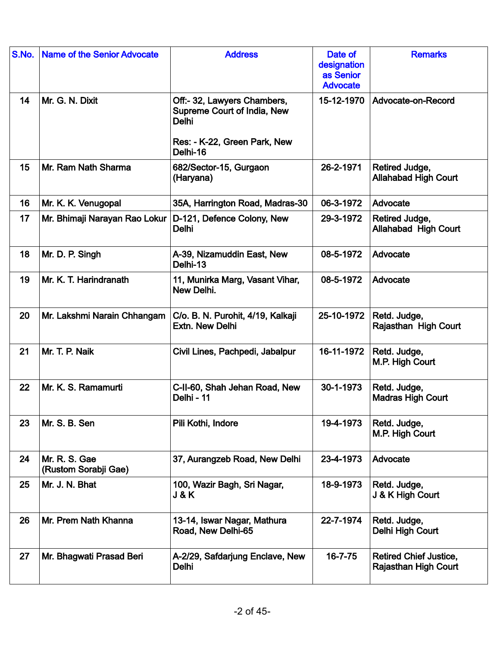| S.No. | <b>Name of the Senior Advocate</b>    | <b>Address</b>                                                             | Date of<br>designation<br>as Senior<br><b>Advocate</b> | <b>Remarks</b>                                               |
|-------|---------------------------------------|----------------------------------------------------------------------------|--------------------------------------------------------|--------------------------------------------------------------|
| 14    | Mr. G. N. Dixit                       | Off:- 32, Lawyers Chambers,<br>Supreme Court of India, New<br><b>Delhi</b> | 15-12-1970                                             | Advocate-on-Record                                           |
|       |                                       | Res: - K-22, Green Park, New<br>Delhi-16                                   |                                                        |                                                              |
| 15    | Mr. Ram Nath Sharma                   | 682/Sector-15, Gurgaon<br>(Haryana)                                        | 26-2-1971                                              | Retired Judge,<br><b>Allahabad High Court</b>                |
| 16    | Mr. K. K. Venugopal                   | 35A, Harrington Road, Madras-30                                            | 06-3-1972                                              | Advocate                                                     |
| 17    | Mr. Bhimaji Narayan Rao Lokur         | D-121, Defence Colony, New<br><b>Delhi</b>                                 | 29-3-1972                                              | Retired Judge,<br>Allahabad High Court                       |
| 18    | Mr. D. P. Singh                       | A-39, Nizamuddin East, New<br>Delhi-13                                     | 08-5-1972                                              | Advocate                                                     |
| 19    | Mr. K. T. Harindranath                | 11, Munirka Marg, Vasant Vihar,<br>New Delhi.                              | 08-5-1972                                              | Advocate                                                     |
| 20    | Mr. Lakshmi Narain Chhangam           | C/o. B. N. Purohit, 4/19, Kalkaji<br><b>Extn. New Delhi</b>                | 25-10-1972                                             | Retd. Judge,<br>Rajasthan High Court                         |
| 21    | Mr. T. P. Naik                        | Civil Lines, Pachpedi, Jabalpur                                            | 16-11-1972                                             | Retd. Judge,<br>M.P. High Court                              |
| 22    | Mr. K. S. Ramamurti                   | C-II-60, Shah Jehan Road, New<br>Delhi - 11                                | 30-1-1973                                              | Retd. Judge,<br><b>Madras High Court</b>                     |
| 23    | Mr. S. B. Sen                         | Pili Kothi, Indore                                                         | 19-4-1973                                              | Retd. Judge,<br>M.P. High Court                              |
| 24    | Mr. R. S. Gae<br>(Rustom Sorabji Gae) | 37, Aurangzeb Road, New Delhi                                              | 23-4-1973                                              | Advocate                                                     |
| 25    | Mr. J. N. Bhat                        | 100, Wazir Bagh, Sri Nagar,<br>J&K                                         | 18-9-1973                                              | Retd. Judge,<br>J & K High Court                             |
| 26    | Mr. Prem Nath Khanna                  | 13-14, Iswar Nagar, Mathura<br>Road, New Delhi-65                          | 22-7-1974                                              | Retd. Judge,<br>Delhi High Court                             |
| 27    | Mr. Bhagwati Prasad Beri              | A-2/29, Safdarjung Enclave, New<br>Delhi                                   | $16 - 7 - 75$                                          | <b>Retired Chief Justice,</b><br><b>Rajasthan High Court</b> |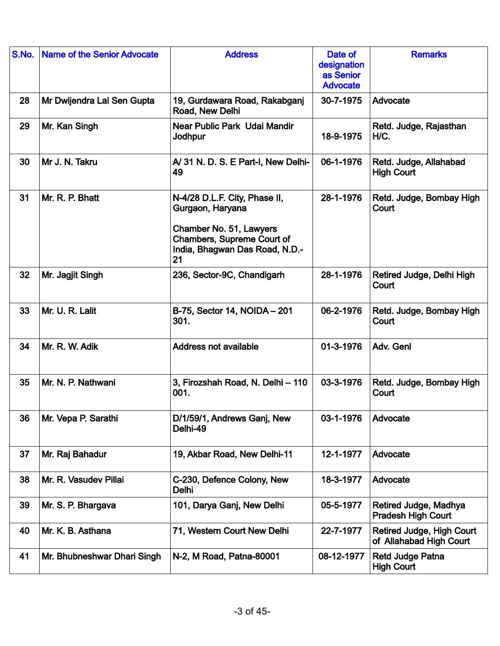| S.No. | <b>Name of the Senior Advocate</b> | <b>Address</b>                                                                                                                                            | Date of<br>designation<br>as Senior<br><b>Advocate</b> | <b>Remarks</b>                                       |
|-------|------------------------------------|-----------------------------------------------------------------------------------------------------------------------------------------------------------|--------------------------------------------------------|------------------------------------------------------|
| 28    | Mr Dwijendra Lal Sen Gupta         | 19, Gurdawara Road, Rakabganj<br>Road, New Delhi                                                                                                          | 30-7-1975                                              | Advocate                                             |
| 29    | Mr. Kan Singh                      | Near Public Park Udai Mandir<br>Jodhpur                                                                                                                   | 18-9-1975                                              | Retd. Judge, Rajasthan<br>H/C.                       |
| 30    | Mr J. N. Takru                     | A/31 N.D.S.E Part-I, New Delhi-<br>49                                                                                                                     | 06-1-1976                                              | Retd. Judge, Allahabad<br><b>High Court</b>          |
| 31    | Mr. R. P. Bhatt                    | N-4/28 D.L.F. City, Phase II,<br>Gurgaon, Haryana<br>Chamber No. 51, Lawyers<br><b>Chambers, Supreme Court of</b><br>India, Bhagwan Das Road, N.D.-<br>21 | 28-1-1976                                              | Retd. Judge, Bombay High<br>Court                    |
| 32    | Mr. Jagjit Singh                   | 236, Sector-9C, Chandigarh                                                                                                                                | 28-1-1976                                              | Retired Judge, Delhi High<br>Court                   |
| 33    | Mr. U. R. Lalit                    | B-75, Sector 14, NOIDA - 201<br>301.                                                                                                                      | 06-2-1976                                              | Retd. Judge, Bombay High<br>Court                    |
| 34    | Mr. R. W. Adik                     | <b>Address not available</b>                                                                                                                              | 01-3-1976                                              | Adv. Genl                                            |
| 35    | Mr. N. P. Nathwani                 | 3, Firozshah Road, N. Delhi - 110<br>001.                                                                                                                 | 03-3-1976                                              | Retd. Judge, Bombay High<br>Court                    |
| 36    | Mr. Vepa P. Sarathi                | D/1/59/1, Andrews Ganj, New<br>Delhi-49                                                                                                                   | 03-1-1976                                              | Advocate                                             |
| 37    | Mr. Raj Bahadur                    | 19, Akbar Road, New Delhi-11                                                                                                                              | 12-1-1977                                              | Advocate                                             |
| 38    | Mr. R. Vasudev Pillai              | C-230, Defence Colony, New<br>Delhi                                                                                                                       | 18-3-1977                                              | Advocate                                             |
| 39    | Mr. S. P. Bhargava                 | 101, Darya Ganj, New Delhi                                                                                                                                | 05-5-1977                                              | Retired Judge, Madhya<br><b>Pradesh High Court</b>   |
| 40    | Mr. K. B. Asthana                  | 71, Western Court New Delhi                                                                                                                               | 22-7-1977                                              | Retired Judge, High Court<br>of Allahabad High Court |
| 41    | Mr. Bhubneshwar Dhari Singh        | N-2, M Road, Patna-80001                                                                                                                                  | 08-12-1977                                             | <b>Retd Judge Patna</b><br><b>High Court</b>         |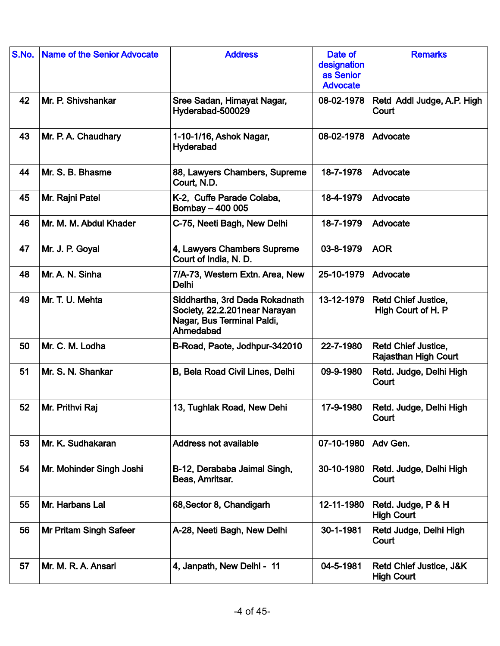| S.No. | <b>Name of the Senior Advocate</b> | <b>Address</b>                                                                                             | Date of<br>designation<br>as Senior<br><b>Advocate</b> | <b>Remarks</b>                                            |
|-------|------------------------------------|------------------------------------------------------------------------------------------------------------|--------------------------------------------------------|-----------------------------------------------------------|
| 42    | Mr. P. Shivshankar                 | Sree Sadan, Himayat Nagar,<br>Hyderabad-500029                                                             | 08-02-1978                                             | Retd Addl Judge, A.P. High<br>Court                       |
| 43    | Mr. P. A. Chaudhary                | 1-10-1/16, Ashok Nagar,<br>Hyderabad                                                                       | 08-02-1978                                             | Advocate                                                  |
| 44    | Mr. S. B. Bhasme                   | 88, Lawyers Chambers, Supreme<br>Court, N.D.                                                               | 18-7-1978                                              | Advocate                                                  |
| 45    | Mr. Rajni Patel                    | K-2, Cuffe Parade Colaba,<br>Bombay - 400 005                                                              | 18-4-1979                                              | Advocate                                                  |
| 46    | Mr. M. M. Abdul Khader             | C-75, Neeti Bagh, New Delhi                                                                                | 18-7-1979                                              | Advocate                                                  |
| 47    | Mr. J. P. Goyal                    | 4, Lawyers Chambers Supreme<br>Court of India, N. D.                                                       | 03-8-1979                                              | <b>AOR</b>                                                |
| 48    | Mr. A. N. Sinha                    | 7/A-73, Western Extn. Area, New<br><b>Delhi</b>                                                            | 25-10-1979                                             | Advocate                                                  |
| 49    | Mr. T. U. Mehta                    | Siddhartha, 3rd Dada Rokadnath<br>Society, 22.2.201near Narayan<br>Nagar, Bus Terminal Paldi,<br>Ahmedabad | 13-12-1979                                             | <b>Retd Chief Justice,</b><br>High Court of H. P          |
| 50    | Mr. C. M. Lodha                    | B-Road, Paote, Jodhpur-342010                                                                              | 22-7-1980                                              | <b>Retd Chief Justice,</b><br><b>Rajasthan High Court</b> |
| 51    | Mr. S. N. Shankar                  | B, Bela Road Civil Lines, Delhi                                                                            | 09-9-1980                                              | Retd. Judge, Delhi High<br>Court                          |
| 52    | Mr. Prithvi Raj                    | 13, Tughlak Road, New Dehi                                                                                 | 17-9-1980                                              | Retd. Judge, Delhi High<br>Court                          |
| 53    | Mr. K. Sudhakaran                  | <b>Address not available</b>                                                                               | 07-10-1980                                             | Adv Gen.                                                  |
| 54    | Mr. Mohinder Singh Joshi           | B-12, Derababa Jaimal Singh,<br>Beas, Amritsar.                                                            | 30-10-1980                                             | Retd. Judge, Delhi High<br>Court                          |
| 55    | Mr. Harbans Lal                    | 68, Sector 8, Chandigarh                                                                                   | 12-11-1980                                             | Retd. Judge, P & H<br><b>High Court</b>                   |
| 56    | <b>Mr Pritam Singh Safeer</b>      | A-28, Neeti Bagh, New Delhi                                                                                | 30-1-1981                                              | Retd Judge, Delhi High<br>Court                           |
| 57    | Mr. M. R. A. Ansari                | 4, Janpath, New Delhi - 11                                                                                 | 04-5-1981                                              | Retd Chief Justice, J&K<br><b>High Court</b>              |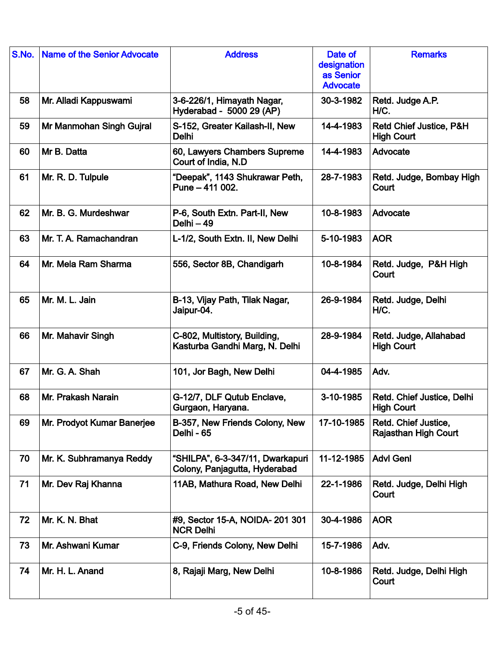| S.No. | <b>Name of the Senior Advocate</b> | <b>Address</b>                                                    | Date of<br>designation<br>as Senior<br><b>Advocate</b> | <b>Remarks</b>                                      |
|-------|------------------------------------|-------------------------------------------------------------------|--------------------------------------------------------|-----------------------------------------------------|
| 58    | Mr. Alladi Kappuswami              | 3-6-226/1, Himayath Nagar,<br>Hyderabad - 5000 29 (AP)            | 30-3-1982                                              | Retd. Judge A.P.<br>H/C.                            |
| 59    | Mr Manmohan Singh Gujral           | S-152, Greater Kailash-II, New<br><b>Delhi</b>                    | 14-4-1983                                              | Retd Chief Justice, P&H<br><b>High Court</b>        |
| 60    | Mr B. Datta                        | 60, Lawyers Chambers Supreme<br>Court of India, N.D.              | 14-4-1983                                              | Advocate                                            |
| 61    | Mr. R. D. Tulpule                  | "Deepak", 1143 Shukrawar Peth,<br>Pune - 411 002.                 | 28-7-1983                                              | Retd. Judge, Bombay High<br>Court                   |
| 62    | Mr. B. G. Murdeshwar               | P-6, South Extn. Part-II, New<br>$Delhi-49$                       | 10-8-1983                                              | Advocate                                            |
| 63    | Mr. T. A. Ramachandran             | L-1/2, South Extn. II, New Delhi                                  | 5-10-1983                                              | <b>AOR</b>                                          |
| 64    | Mr. Mela Ram Sharma                | 556, Sector 8B, Chandigarh                                        | 10-8-1984                                              | Retd. Judge, P&H High<br>Court                      |
| 65    | Mr. M. L. Jain                     | B-13, Vijay Path, Tilak Nagar,<br>Jaipur-04.                      | 26-9-1984                                              | Retd. Judge, Delhi<br>H/C.                          |
| 66    | Mr. Mahavir Singh                  | C-802, Multistory, Building,<br>Kasturba Gandhi Marg, N. Delhi    | 28-9-1984                                              | Retd. Judge, Allahabad<br><b>High Court</b>         |
| 67    | Mr. G. A. Shah                     | 101, Jor Bagh, New Delhi                                          | 04-4-1985                                              | Adv.                                                |
| 68    | Mr. Prakash Narain                 | G-12/7, DLF Qutub Enclave,<br>Gurgaon, Haryana.                   | 3-10-1985                                              | Retd. Chief Justice, Delhi<br><b>High Court</b>     |
| 69    | Mr. Prodyot Kumar Banerjee         | B-357, New Friends Colony, New<br>Delhi - 65                      | 17-10-1985                                             | Retd. Chief Justice,<br><b>Rajasthan High Court</b> |
| 70    | Mr. K. Subhramanya Reddy           | "SHILPA", 6-3-347/11, Dwarkapuri<br>Colony, Panjagutta, Hyderabad | 11-12-1985                                             | <b>Advl Genl</b>                                    |
| 71    | Mr. Dev Raj Khanna                 | 11AB, Mathura Road, New Delhi                                     | 22-1-1986                                              | Retd. Judge, Delhi High<br>Court                    |
| 72    | Mr. K. N. Bhat                     | #9, Sector 15-A, NOIDA- 201 301<br><b>NCR Delhi</b>               | 30-4-1986                                              | <b>AOR</b>                                          |
| 73    | Mr. Ashwani Kumar                  | C-9, Friends Colony, New Delhi                                    | 15-7-1986                                              | Adv.                                                |
| 74    | Mr. H. L. Anand                    | 8, Rajaji Marg, New Delhi                                         | 10-8-1986                                              | Retd. Judge, Delhi High<br>Court                    |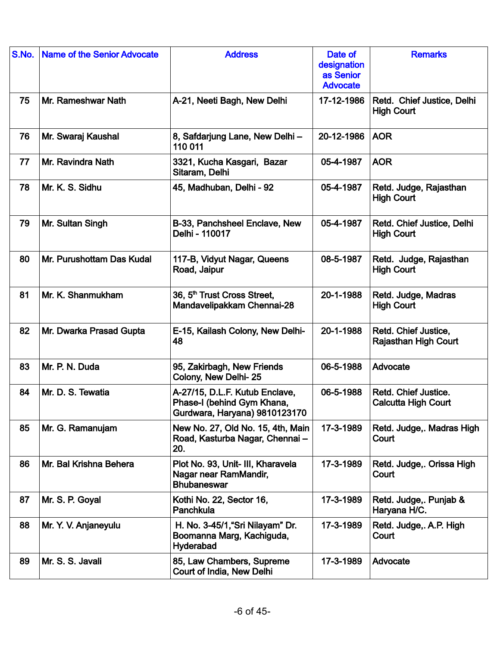| S.No. | <b>Name of the Senior Advocate</b> | <b>Address</b>                                                                                | Date of<br>designation<br>as Senior<br><b>Advocate</b> | <b>Remarks</b>                                      |
|-------|------------------------------------|-----------------------------------------------------------------------------------------------|--------------------------------------------------------|-----------------------------------------------------|
| 75    | Mr. Rameshwar Nath                 | A-21, Neeti Bagh, New Delhi                                                                   | 17-12-1986                                             | Retd. Chief Justice, Delhi<br><b>High Court</b>     |
| 76    | Mr. Swaraj Kaushal                 | 8, Safdarjung Lane, New Delhi-<br>110 011                                                     | 20-12-1986                                             | <b>AOR</b>                                          |
| 77    | Mr. Ravindra Nath                  | 3321, Kucha Kasgari, Bazar<br>Sitaram, Delhi                                                  | 05-4-1987                                              | <b>AOR</b>                                          |
| 78    | Mr. K. S. Sidhu                    | 45, Madhuban, Delhi - 92                                                                      | 05-4-1987                                              | Retd. Judge, Rajasthan<br><b>High Court</b>         |
| 79    | Mr. Sultan Singh                   | B-33, Panchsheel Enclave, New<br>Delhi - 110017                                               | 05-4-1987                                              | Retd. Chief Justice, Delhi<br><b>High Court</b>     |
| 80    | Mr. Purushottam Das Kudal          | 117-B, Vidyut Nagar, Queens<br>Road, Jaipur                                                   | 08-5-1987                                              | Retd. Judge, Rajasthan<br><b>High Court</b>         |
| 81    | Mr. K. Shanmukham                  | 36, 5 <sup>th</sup> Trust Cross Street,<br>Mandavelipakkam Chennai-28                         | 20-1-1988                                              | Retd. Judge, Madras<br><b>High Court</b>            |
| 82    | Mr. Dwarka Prasad Gupta            | E-15, Kailash Colony, New Delhi-<br>48                                                        | 20-1-1988                                              | Retd. Chief Justice,<br><b>Rajasthan High Court</b> |
| 83    | Mr. P. N. Duda                     | 95, Zakirbagh, New Friends<br>Colony, New Delhi-25                                            | 06-5-1988                                              | Advocate                                            |
| 84    | Mr. D. S. Tewatia                  | A-27/15, D.L.F. Kutub Enclave,<br>Phase-I (behind Gym Khana,<br>Gurdwara, Haryana) 9810123170 | 06-5-1988                                              | Retd. Chief Justice.<br><b>Calcutta High Court</b>  |
| 85    | Mr. G. Ramanujam                   | New No. 27, Old No. 15, 4th, Main<br>Road, Kasturba Nagar, Chennai-<br>20.                    | 17-3-1989                                              | Retd. Judge,. Madras High<br>Court                  |
| 86    | Mr. Bal Krishna Behera             | Plot No. 93, Unit- III, Kharavela<br>Nagar near RamMandir,<br><b>Bhubaneswar</b>              | 17-3-1989                                              | Retd. Judge,. Orissa High<br>Court                  |
| 87    | Mr. S. P. Goyal                    | Kothi No. 22, Sector 16,<br>Panchkula                                                         | 17-3-1989                                              | Retd. Judge,. Punjab &<br>Haryana H/C.              |
| 88    | Mr. Y. V. Anjaneyulu               | H. No. 3-45/1, "Sri Nilayam" Dr.<br>Boomanna Marg, Kachiguda,<br>Hyderabad                    | 17-3-1989                                              | Retd. Judge, A.P. High<br>Court                     |
| 89    | Mr. S. S. Javali                   | 85, Law Chambers, Supreme<br>Court of India, New Delhi                                        | 17-3-1989                                              | Advocate                                            |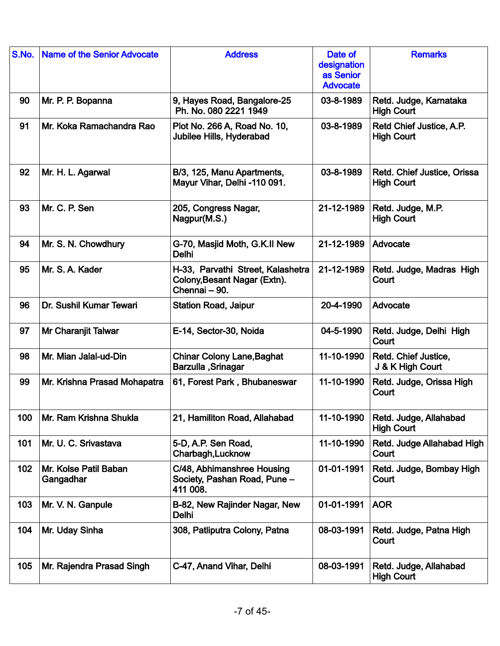| S.No. | <b>Name of the Senior Advocate</b> | <b>Address</b>                                                                     | Date of<br>designation<br>as Senior<br><b>Advocate</b> | <b>Remarks</b>                                   |
|-------|------------------------------------|------------------------------------------------------------------------------------|--------------------------------------------------------|--------------------------------------------------|
| 90    | Mr. P. P. Bopanna                  | 9, Hayes Road, Bangalore-25<br>Ph. No. 080 2221 1949                               | 03-8-1989                                              | Retd. Judge, Karnataka<br><b>High Court</b>      |
| 91    | Mr. Koka Ramachandra Rao           | Plot No. 266 A, Road No. 10,<br>Jubilee Hills, Hyderabad                           | 03-8-1989                                              | Retd Chief Justice, A.P.<br><b>High Court</b>    |
| 92    | Mr. H. L. Agarwal                  | B/3, 125, Manu Apartments,<br>Mayur Vihar, Delhi -110 091.                         | 03-8-1989                                              | Retd. Chief Justice, Orissa<br><b>High Court</b> |
| 93    | Mr. C. P. Sen                      | 205, Congress Nagar,<br>Nagpur(M.S.)                                               | 21-12-1989                                             | Retd. Judge, M.P.<br><b>High Court</b>           |
| 94    | Mr. S. N. Chowdhury                | G-70, Masjid Moth, G.K.II New<br><b>Delhi</b>                                      | 21-12-1989                                             | Advocate                                         |
| 95    | Mr. S. A. Kader                    | H-33, Parvathi Street, Kalashetra<br>Colony, Besant Nagar (Extn).<br>Chennai - 90. | 21-12-1989                                             | Retd. Judge, Madras High<br>Court                |
| 96    | Dr. Sushil Kumar Tewari            | <b>Station Road, Jaipur</b>                                                        | 20-4-1990                                              | Advocate                                         |
| 97    | Mr Charanjit Talwar                | E-14, Sector-30, Noida                                                             | 04-5-1990                                              | Retd. Judge, Delhi High<br>Court                 |
| 98    | Mr. Mian Jalal-ud-Din              | <b>Chinar Colony Lane, Baghat</b><br><b>Barzulla</b> , Srinagar                    | 11-10-1990                                             | Retd. Chief Justice,<br>J & K High Court         |
| 99    | Mr. Krishna Prasad Mohapatra       | 61, Forest Park, Bhubaneswar                                                       | 11-10-1990                                             | Retd. Judge, Orissa High<br>Court                |
| 100   | Mr. Ram Krishna Shukla             | 21, Hamiliton Road, Allahabad                                                      | 11-10-1990                                             | Retd. Judge, Allahabad<br><b>High Court</b>      |
| 101   | Mr. U. C. Srivastava               | 5-D, A.P. Sen Road,<br>Charbagh, Lucknow                                           | 11-10-1990                                             | Retd. Judge Allahabad High<br>Court              |
| 102   | Mr. Kolse Patil Baban<br>Gangadhar | C/48, Abhimanshree Housing<br>Society, Pashan Road, Pune -<br>411 008.             | 01-01-1991                                             | Retd. Judge, Bombay High<br>Court                |
| 103   | Mr. V. N. Ganpule                  | B-82, New Rajinder Nagar, New<br><b>Delhi</b>                                      | 01-01-1991                                             | <b>AOR</b>                                       |
| 104   | Mr. Uday Sinha                     | 308, Patliputra Colony, Patna                                                      | 08-03-1991                                             | Retd. Judge, Patna High<br>Court                 |
| 105   | Mr. Rajendra Prasad Singh          | C-47, Anand Vihar, Delhi                                                           | 08-03-1991                                             | Retd. Judge, Allahabad<br><b>High Court</b>      |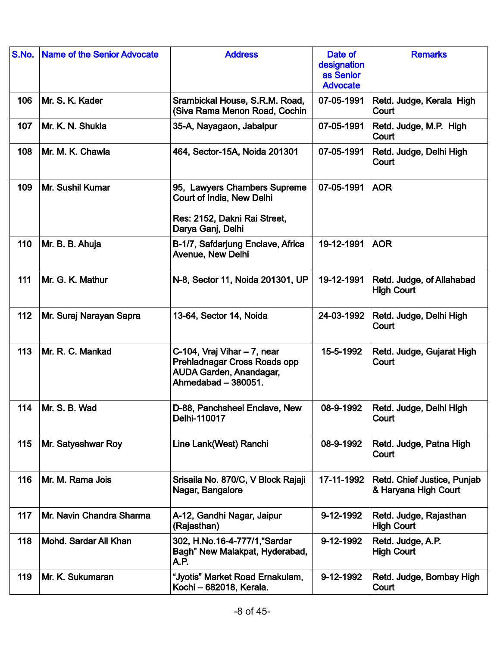| S.No. | <b>Name of the Senior Advocate</b> | <b>Address</b>                                                                                                       | Date of<br>designation<br>as Senior<br><b>Advocate</b> | <b>Remarks</b>                                      |
|-------|------------------------------------|----------------------------------------------------------------------------------------------------------------------|--------------------------------------------------------|-----------------------------------------------------|
| 106   | Mr. S. K. Kader                    | Srambickal House, S.R.M. Road,<br>(Siva Rama Menon Road, Cochin                                                      | 07-05-1991                                             | Retd. Judge, Kerala High<br>Court                   |
| 107   | Mr. K. N. Shukla                   | 35-A, Nayagaon, Jabalpur                                                                                             | 07-05-1991                                             | Retd. Judge, M.P. High<br>Court                     |
| 108   | Mr. M. K. Chawla                   | 464, Sector-15A, Noida 201301                                                                                        | 07-05-1991                                             | Retd. Judge, Delhi High<br>Court                    |
| 109   | Mr. Sushil Kumar                   | 95, Lawyers Chambers Supreme<br>Court of India, New Delhi<br>Res: 2152, Dakni Rai Street,<br>Darya Ganj, Delhi       | 07-05-1991                                             | <b>AOR</b>                                          |
| 110   | Mr. B. B. Ahuja                    | B-1/7, Safdarjung Enclave, Africa<br>Avenue, New Delhi                                                               | 19-12-1991                                             | <b>AOR</b>                                          |
| 111   | Mr. G. K. Mathur                   | N-8, Sector 11, Noida 201301, UP                                                                                     | 19-12-1991                                             | Retd. Judge, of Allahabad<br><b>High Court</b>      |
| 112   | Mr. Suraj Narayan Sapra            | 13-64, Sector 14, Noida                                                                                              | 24-03-1992                                             | Retd. Judge, Delhi High<br>Court                    |
| 113   | Mr. R. C. Mankad                   | C-104, Vraj Vihar - 7, near<br>Prehladnagar Cross Roads opp<br><b>AUDA Garden, Anandagar,</b><br>Ahmedabad - 380051. | 15-5-1992                                              | Retd. Judge, Gujarat High<br>Court                  |
| 114   | Mr. S. B. Wad                      | D-88, Panchsheel Enclave, New<br>Delhi-110017                                                                        | 08-9-1992                                              | Retd. Judge, Delhi High<br>Court                    |
| 115   | Mr. Satyeshwar Roy                 | Line Lank(West) Ranchi                                                                                               | 08-9-1992                                              | Retd. Judge, Patna High<br>Court                    |
| 116   | Mr. M. Rama Jois                   | Srisaila No. 870/C, V Block Rajaji<br>Nagar, Bangalore                                                               | 17-11-1992                                             | Retd. Chief Justice, Punjab<br>& Haryana High Court |
| 117   | Mr. Navin Chandra Sharma           | A-12, Gandhi Nagar, Jaipur<br>(Rajasthan)                                                                            | 9-12-1992                                              | Retd. Judge, Rajasthan<br><b>High Court</b>         |
| 118   | Mohd. Sardar Ali Khan              | 302, H.No.16-4-777/1, "Sardar<br>Bagh" New Malakpat, Hyderabad,<br>A.P.                                              | 9-12-1992                                              | Retd. Judge, A.P.<br><b>High Court</b>              |
| 119   | Mr. K. Sukumaran                   | "Jyotis" Market Road Ernakulam,<br>Kochi - 682018, Kerala.                                                           | 9-12-1992                                              | Retd. Judge, Bombay High<br>Court                   |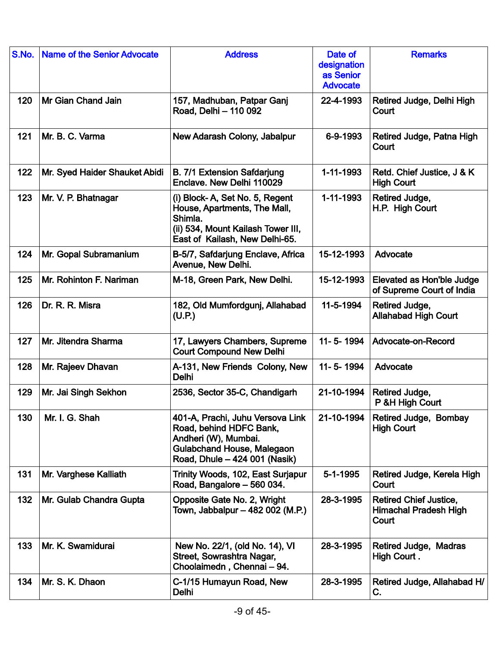| S.No. | <b>Name of the Senior Advocate</b> | <b>Address</b>                                                                                                                                            | Date of<br>designation<br>as Senior<br><b>Advocate</b> | <b>Remarks</b>                                                         |
|-------|------------------------------------|-----------------------------------------------------------------------------------------------------------------------------------------------------------|--------------------------------------------------------|------------------------------------------------------------------------|
| 120   | Mr Gian Chand Jain                 | 157, Madhuban, Patpar Ganj<br>Road, Delhi - 110 092                                                                                                       | 22-4-1993                                              | Retired Judge, Delhi High<br>Court                                     |
| 121   | Mr. B. C. Varma                    | New Adarash Colony, Jabalpur                                                                                                                              | 6-9-1993                                               | Retired Judge, Patna High<br>Court                                     |
| 122   | Mr. Syed Haider Shauket Abidi      | <b>B. 7/1 Extension Safdarjung</b><br>Enclave. New Delhi 110029                                                                                           | 1-11-1993                                              | Retd. Chief Justice, J & K<br><b>High Court</b>                        |
| 123   | Mr. V. P. Bhatnagar                | (i) Block-A, Set No. 5, Regent<br>House, Apartments, The Mall,<br>Shimla.<br>(ii) 534, Mount Kailash Tower III,<br>East of Kailash, New Delhi-65.         | 1-11-1993                                              | Retired Judge,<br>H.P. High Court                                      |
| 124   | Mr. Gopal Subramanium              | B-5/7, Safdarjung Enclave, Africa<br>Avenue, New Delhi.                                                                                                   | 15-12-1993                                             | Advocate                                                               |
| 125   | Mr. Rohinton F. Nariman            | M-18, Green Park, New Delhi.                                                                                                                              | 15-12-1993                                             | Elevated as Hon'ble Judge<br>of Supreme Court of India                 |
| 126   | Dr. R. R. Misra                    | 182, Old Mumfordgunj, Allahabad<br>(U.P.)                                                                                                                 | 11-5-1994                                              | Retired Judge,<br><b>Allahabad High Court</b>                          |
| 127   | Mr. Jitendra Sharma                | 17, Lawyers Chambers, Supreme<br><b>Court Compound New Delhi</b>                                                                                          | 11-5-1994                                              | Advocate-on-Record                                                     |
| 128   | Mr. Rajeev Dhavan                  | A-131, New Friends Colony, New<br>Delhi                                                                                                                   | 11-5-1994                                              | Advocate                                                               |
| 129   | Mr. Jai Singh Sekhon               | 2536, Sector 35-C, Chandigarh                                                                                                                             | 21-10-1994                                             | Retired Judge,<br>P &H High Court                                      |
| 130   | Mr. I. G. Shah                     | 401-A, Prachi, Juhu Versova Link<br>Road, behind HDFC Bank,<br>Andheri (W), Mumbai.<br><b>Gulabchand House, Malegaon</b><br>Road, Dhule - 424 001 (Nasik) | 21-10-1994                                             | Retired Judge, Bombay<br><b>High Court</b>                             |
| 131   | Mr. Varghese Kalliath              | Trinity Woods, 102, East Surjapur<br>Road, Bangalore - 560 034.                                                                                           | 5-1-1995                                               | Retired Judge, Kerela High<br>Court                                    |
| 132   | Mr. Gulab Chandra Gupta            | Opposite Gate No. 2, Wright<br>Town, Jabbalpur – 482 002 (M.P.)                                                                                           | 28-3-1995                                              | <b>Retired Chief Justice,</b><br><b>Himachal Pradesh High</b><br>Court |
| 133   | Mr. K. Swamidurai                  | New No. 22/1, (old No. 14), VI<br>Street, Sowrashtra Nagar,<br>Choolaimedn, Chennai - 94.                                                                 | 28-3-1995                                              | Retired Judge, Madras<br>High Court.                                   |
| 134   | Mr. S. K. Dhaon                    | C-1/15 Humayun Road, New<br>Delhi                                                                                                                         | 28-3-1995                                              | Retired Judge, Allahabad H/<br>C.                                      |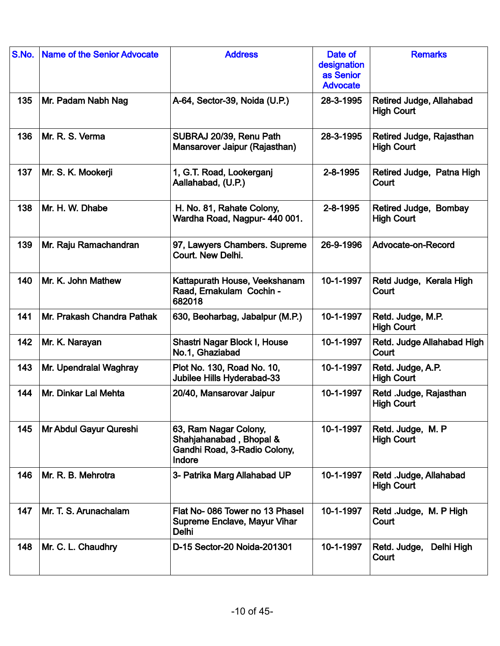| S.No. | <b>Name of the Senior Advocate</b> | <b>Address</b>                                                                             | Date of<br>designation<br>as Senior<br><b>Advocate</b> | <b>Remarks</b>                                |
|-------|------------------------------------|--------------------------------------------------------------------------------------------|--------------------------------------------------------|-----------------------------------------------|
| 135   | Mr. Padam Nabh Nag                 | A-64, Sector-39, Noida (U.P.)                                                              | 28-3-1995                                              | Retired Judge, Allahabad<br><b>High Court</b> |
| 136   | Mr. R. S. Verma                    | SUBRAJ 20/39, Renu Path<br>Mansarover Jaipur (Rajasthan)                                   | 28-3-1995                                              | Retired Judge, Rajasthan<br><b>High Court</b> |
| 137   | Mr. S. K. Mookerji                 | 1, G.T. Road, Lookerganj<br>Aallahabad, (U.P.)                                             | 2-8-1995                                               | Retired Judge, Patna High<br>Court            |
| 138   | Mr. H. W. Dhabe                    | H. No. 81, Rahate Colony,<br>Wardha Road, Nagpur- 440 001.                                 | 2-8-1995                                               | Retired Judge, Bombay<br><b>High Court</b>    |
| 139   | Mr. Raju Ramachandran              | 97, Lawyers Chambers. Supreme<br>Court. New Delhi.                                         | 26-9-1996                                              | Advocate-on-Record                            |
| 140   | Mr. K. John Mathew                 | Kattapurath House, Veekshanam<br>Raad, Ernakulam Cochin -<br>682018                        | 10-1-1997                                              | Retd Judge, Kerala High<br>Court              |
| 141   | Mr. Prakash Chandra Pathak         | 630, Beoharbag, Jabalpur (M.P.)                                                            | 10-1-1997                                              | Retd. Judge, M.P.<br><b>High Court</b>        |
| 142   | Mr. K. Narayan                     | Shastri Nagar Block I, House<br>No.1, Ghaziabad                                            | 10-1-1997                                              | Retd. Judge Allahabad High<br>Court           |
| 143   | Mr. Upendralal Waghray             | Plot No. 130, Road No. 10,<br>Jubilee Hills Hyderabad-33                                   | 10-1-1997                                              | Retd. Judge, A.P.<br><b>High Court</b>        |
| 144   | Mr. Dinkar Lal Mehta               | 20/40, Mansarovar Jaipur                                                                   | 10-1-1997                                              | Retd .Judge, Rajasthan<br><b>High Court</b>   |
| 145   | Mr Abdul Gayur Qureshi             | 63, Ram Nagar Colony,<br>Shahjahanabad, Bhopal &<br>Gandhi Road, 3-Radio Colony,<br>Indore | 10-1-1997                                              | Retd. Judge, M. P<br><b>High Court</b>        |
| 146   | Mr. R. B. Mehrotra                 | 3- Patrika Marg Allahabad UP                                                               | 10-1-1997                                              | Retd .Judge, Allahabad<br><b>High Court</b>   |
| 147   | Mr. T. S. Arunachalam              | Flat No-086 Tower no 13 Phasel<br><b>Supreme Enclave, Mayur Vihar</b><br>Delhi             | 10-1-1997                                              | Retd Judge, M. P High<br>Court                |
| 148   | Mr. C. L. Chaudhry                 | D-15 Sector-20 Noida-201301                                                                | 10-1-1997                                              | Retd. Judge,<br>Delhi High<br>Court           |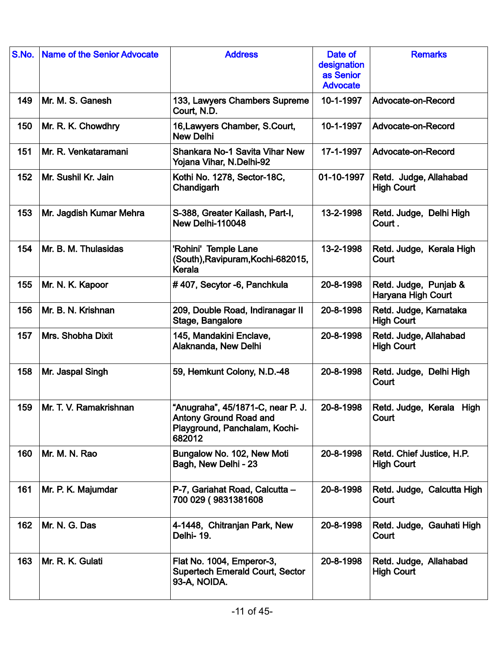| S.No. | <b>Name of the Senior Advocate</b> | <b>Address</b>                                                                                                | Date of<br>designation<br>as Senior<br><b>Advocate</b> | <b>Remarks</b>                                 |
|-------|------------------------------------|---------------------------------------------------------------------------------------------------------------|--------------------------------------------------------|------------------------------------------------|
| 149   | Mr. M. S. Ganesh                   | 133, Lawyers Chambers Supreme<br>Court, N.D.                                                                  | 10-1-1997                                              | Advocate-on-Record                             |
| 150   | Mr. R. K. Chowdhry                 | 16, Lawyers Chamber, S. Court,<br><b>New Delhi</b>                                                            | 10-1-1997                                              | Advocate-on-Record                             |
| 151   | Mr. R. Venkataramani               | <b>Shankara No-1 Savita Vihar New</b><br>Yojana Vihar, N.Delhi-92                                             | 17-1-1997                                              | Advocate-on-Record                             |
| 152   | Mr. Sushil Kr. Jain                | Kothi No. 1278, Sector-18C,<br>Chandigarh                                                                     | 01-10-1997                                             | Retd. Judge, Allahabad<br><b>High Court</b>    |
| 153   | Mr. Jagdish Kumar Mehra            | S-388, Greater Kailash, Part-I,<br>New Delhi-110048                                                           | 13-2-1998                                              | Retd. Judge, Delhi High<br>Court.              |
| 154   | Mr. B. M. Thulasidas               | 'Rohini' Temple Lane<br>(South), Ravipuram, Kochi-682015,<br>Kerala                                           | 13-2-1998                                              | Retd. Judge, Kerala High<br>Court              |
| 155   | Mr. N. K. Kapoor                   | #407, Secytor -6, Panchkula                                                                                   | 20-8-1998                                              | Retd. Judge, Punjab &<br>Haryana High Court    |
| 156   | Mr. B. N. Krishnan                 | 209, Double Road, Indiranagar II<br>Stage, Bangalore                                                          | 20-8-1998                                              | Retd. Judge, Karnataka<br><b>High Court</b>    |
| 157   | Mrs. Shobha Dixit                  | 145, Mandakini Enclave,<br>Alaknanda, New Delhi                                                               | 20-8-1998                                              | Retd. Judge, Allahabad<br><b>High Court</b>    |
| 158   | Mr. Jaspal Singh                   | 59, Hemkunt Colony, N.D.-48                                                                                   | 20-8-1998                                              | Retd. Judge, Delhi High<br>Court               |
| 159   | Mr. T. V. Ramakrishnan             | "Anugraha", 45/1871-C, near P. J.<br><b>Antony Ground Road and</b><br>Playground, Panchalam, Kochi-<br>682012 | 20-8-1998                                              | Retd. Judge, Kerala<br>High<br>Court           |
| 160   | Mr. M. N. Rao                      | Bungalow No. 102, New Moti<br>Bagh, New Delhi - 23                                                            | 20-8-1998                                              | Retd. Chief Justice, H.P.<br><b>High Court</b> |
| 161   | Mr. P. K. Majumdar                 | P-7, Gariahat Road, Calcutta -<br>700 029 (9831381608                                                         | 20-8-1998                                              | Retd. Judge, Calcutta High<br>Court            |
| 162   | Mr. N. G. Das                      | 4-1448, Chitranjan Park, New<br>Delhi-19.                                                                     | 20-8-1998                                              | Retd. Judge, Gauhati High<br>Court             |
| 163   | Mr. R. K. Gulati                   | Flat No. 1004, Emperor-3,<br><b>Supertech Emerald Court, Sector</b><br>93-A, NOIDA.                           | 20-8-1998                                              | Retd. Judge, Allahabad<br><b>High Court</b>    |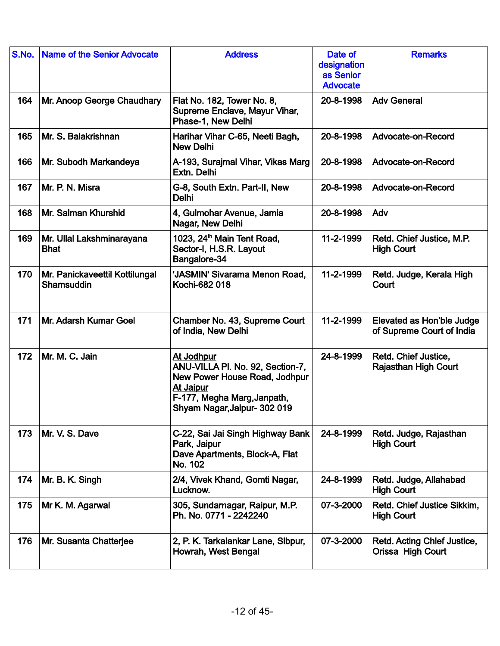| S.No. | Name of the Senior Advocate                  | <b>Address</b>                                                                                                                                                     | Date of<br>designation<br>as Senior<br><b>Advocate</b> | <b>Remarks</b>                                         |
|-------|----------------------------------------------|--------------------------------------------------------------------------------------------------------------------------------------------------------------------|--------------------------------------------------------|--------------------------------------------------------|
| 164   | Mr. Anoop George Chaudhary                   | Flat No. 182, Tower No. 8,<br>Supreme Enclave, Mayur Vihar,<br>Phase-1, New Delhi                                                                                  | 20-8-1998                                              | <b>Adv General</b>                                     |
| 165   | Mr. S. Balakrishnan                          | Harihar Vihar C-65, Neeti Bagh,<br><b>New Delhi</b>                                                                                                                | 20-8-1998                                              | Advocate-on-Record                                     |
| 166   | Mr. Subodh Markandeya                        | A-193, Surajmal Vihar, Vikas Marg<br>Extn. Delhi                                                                                                                   | 20-8-1998                                              | Advocate-on-Record                                     |
| 167   | Mr. P. N. Misra                              | G-8, South Extn. Part-II, New<br><b>Delhi</b>                                                                                                                      | 20-8-1998                                              | Advocate-on-Record                                     |
| 168   | Mr. Salman Khurshid                          | 4, Gulmohar Avenue, Jamia<br>Nagar, New Delhi                                                                                                                      | 20-8-1998                                              | Adv                                                    |
| 169   | Mr. Ullal Lakshminarayana<br><b>Bhat</b>     | 1023, 24 <sup>th</sup> Main Tent Road,<br>Sector-I, H.S.R. Layout<br>Bangalore-34                                                                                  | 11-2-1999                                              | Retd. Chief Justice, M.P.<br><b>High Court</b>         |
| 170   | Mr. Panickaveettil Kottilungal<br>Shamsuddin | 'JASMIN' Sivarama Menon Road,<br>Kochi-682 018                                                                                                                     | 11-2-1999                                              | Retd. Judge, Kerala High<br>Court                      |
| 171   | Mr. Adarsh Kumar Goel                        | Chamber No. 43, Supreme Court<br>of India, New Delhi                                                                                                               | 11-2-1999                                              | Elevated as Hon'ble Judge<br>of Supreme Court of India |
| 172   | Mr. M. C. Jain                               | At Jodhpur<br>ANU-VILLA PI. No. 92, Section-7,<br>New Power House Road, Jodhpur<br><b>At Jaipur</b><br>F-177, Megha Marg, Janpath,<br>Shyam Nagar, Jaipur- 302 019 | 24-8-1999                                              | Retd. Chief Justice,<br><b>Rajasthan High Court</b>    |
| 173   | Mr. V. S. Dave                               | C-22, Sai Jai Singh Highway Bank<br>Park, Jaipur<br>Dave Apartments, Block-A, Flat<br>No. 102                                                                      | 24-8-1999                                              | Retd. Judge, Rajasthan<br><b>High Court</b>            |
| 174   | Mr. B. K. Singh                              | 2/4, Vivek Khand, Gomti Nagar,<br>Lucknow.                                                                                                                         | 24-8-1999                                              | Retd. Judge, Allahabad<br><b>High Court</b>            |
| 175   | Mr K. M. Agarwal                             | 305, Sundarnagar, Raipur, M.P.<br>Ph. No. 0771 - 2242240                                                                                                           | 07-3-2000                                              | Retd. Chief Justice Sikkim,<br><b>High Court</b>       |
| 176   | Mr. Susanta Chatterjee                       | 2, P. K. Tarkalankar Lane, Sibpur,<br>Howrah, West Bengal                                                                                                          | 07-3-2000                                              | Retd. Acting Chief Justice,<br>Orissa High Court       |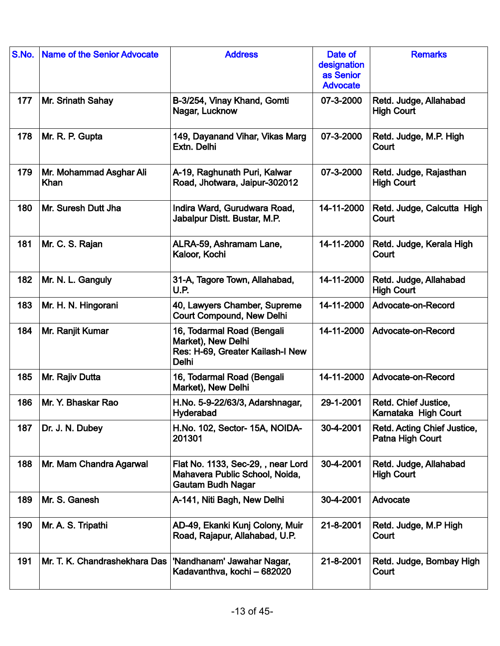| S.No. | <b>Name of the Senior Advocate</b> | <b>Address</b>                                                                                       | Date of<br>designation<br>as Senior<br><b>Advocate</b> | <b>Remarks</b>                                  |
|-------|------------------------------------|------------------------------------------------------------------------------------------------------|--------------------------------------------------------|-------------------------------------------------|
| 177   | Mr. Srinath Sahay                  | B-3/254, Vinay Khand, Gomti<br>Nagar, Lucknow                                                        | 07-3-2000                                              | Retd. Judge, Allahabad<br><b>High Court</b>     |
| 178   | Mr. R. P. Gupta                    | 149, Dayanand Vihar, Vikas Marg<br>Extn. Delhi                                                       | 07-3-2000                                              | Retd. Judge, M.P. High<br>Court                 |
| 179   | Mr. Mohammad Asghar Ali<br>Khan    | A-19, Raghunath Puri, Kalwar<br>Road, Jhotwara, Jaipur-302012                                        | 07-3-2000                                              | Retd. Judge, Rajasthan<br><b>High Court</b>     |
| 180   | Mr. Suresh Dutt Jha                | Indira Ward, Gurudwara Road,<br>Jabalpur Distt. Bustar, M.P.                                         | 14-11-2000                                             | Retd. Judge, Calcutta High<br>Court             |
| 181   | Mr. C. S. Rajan                    | ALRA-59, Ashramam Lane,<br>Kaloor, Kochi                                                             | 14-11-2000                                             | Retd. Judge, Kerala High<br>Court               |
| 182   | Mr. N. L. Ganguly                  | 31-A, Tagore Town, Allahabad,<br>U.P.                                                                | 14-11-2000                                             | Retd. Judge, Allahabad<br><b>High Court</b>     |
| 183   | Mr. H. N. Hingorani                | 40, Lawyers Chamber, Supreme<br><b>Court Compound, New Delhi</b>                                     | 14-11-2000                                             | Advocate-on-Record                              |
| 184   | Mr. Ranjit Kumar                   | 16, Todarmal Road (Bengali<br>Market), New Delhi<br>Res: H-69, Greater Kailash-I New<br><b>Delhi</b> | 14-11-2000                                             | Advocate-on-Record                              |
| 185   | Mr. Rajiv Dutta                    | 16, Todarmal Road (Bengali<br>Market), New Delhi                                                     | 14-11-2000                                             | Advocate-on-Record                              |
| 186   | Mr. Y. Bhaskar Rao                 | H.No. 5-9-22/63/3, Adarshnagar,<br>Hyderabad                                                         | 29-1-2001                                              | Retd. Chief Justice,<br>Karnataka High Court    |
| 187   | Dr. J. N. Dubey                    | H.No. 102, Sector- 15A, NOIDA-<br>201301                                                             | 30-4-2001                                              | Retd. Acting Chief Justice,<br>Patna High Court |
| 188   | Mr. Mam Chandra Agarwal            | Flat No. 1133, Sec-29, , near Lord<br>Mahavera Public School, Noida,<br><b>Gautam Budh Nagar</b>     | 30-4-2001                                              | Retd. Judge, Allahabad<br><b>High Court</b>     |
| 189   | Mr. S. Ganesh                      | A-141, Niti Bagh, New Delhi                                                                          | 30-4-2001                                              | Advocate                                        |
| 190   | Mr. A. S. Tripathi                 | AD-49, Ekanki Kunj Colony, Muir<br>Road, Rajapur, Allahabad, U.P.                                    | 21-8-2001                                              | Retd. Judge, M.P High<br>Court                  |
| 191   | Mr. T. K. Chandrashekhara Das      | 'Nandhanam' Jawahar Nagar,<br>Kadavanthva, kochi - 682020                                            | 21-8-2001                                              | Retd. Judge, Bombay High<br>Court               |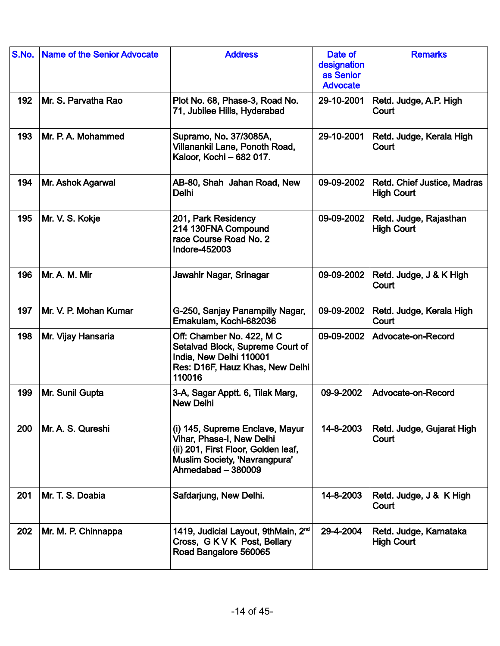| S.No. | <b>Name of the Senior Advocate</b> | <b>Address</b>                                                                                                                                             | Date of<br>designation<br>as Senior<br><b>Advocate</b> | <b>Remarks</b>                                   |
|-------|------------------------------------|------------------------------------------------------------------------------------------------------------------------------------------------------------|--------------------------------------------------------|--------------------------------------------------|
| 192   | Mr. S. Parvatha Rao                | Plot No. 68, Phase-3, Road No.<br>71, Jubilee Hills, Hyderabad                                                                                             | 29-10-2001                                             | Retd. Judge, A.P. High<br>Court                  |
| 193   | Mr. P. A. Mohammed                 | Supramo, No. 37/3085A,<br>Villanankil Lane, Ponoth Road,<br>Kaloor, Kochi - 682 017.                                                                       | 29-10-2001                                             | Retd. Judge, Kerala High<br>Court                |
| 194   | Mr. Ashok Agarwal                  | AB-80, Shah Jahan Road, New<br><b>Delhi</b>                                                                                                                | 09-09-2002                                             | Retd. Chief Justice, Madras<br><b>High Court</b> |
| 195   | Mr. V. S. Kokje                    | 201, Park Residency<br>214 130FNA Compound<br>race Course Road No. 2<br>Indore-452003                                                                      | 09-09-2002                                             | Retd. Judge, Rajasthan<br><b>High Court</b>      |
| 196   | Mr. A. M. Mir                      | Jawahir Nagar, Srinagar                                                                                                                                    | 09-09-2002                                             | Retd. Judge, J & K High<br>Court                 |
| 197   | Mr. V. P. Mohan Kumar              | G-250, Sanjay Panampilly Nagar,<br>Ernakulam, Kochi-682036                                                                                                 | 09-09-2002                                             | Retd. Judge, Kerala High<br>Court                |
| 198   | Mr. Vijay Hansaria                 | Off: Chamber No. 422, M C<br>Setalvad Block, Supreme Court of<br>India, New Delhi 110001<br>Res: D16F, Hauz Khas, New Delhi<br>110016                      | 09-09-2002                                             | Advocate-on-Record                               |
| 199   | Mr. Sunil Gupta                    | 3-A, Sagar Apptt. 6, Tilak Marg,<br><b>New Delhi</b>                                                                                                       | 09-9-2002                                              | Advocate-on-Record                               |
| 200   | Mr. A. S. Qureshi                  | (i) 145, Supreme Enclave, Mayur<br>Vihar, Phase-I, New Delhi<br>(ii) 201, First Floor, Golden leaf,<br>Muslim Society, 'Navrangpura'<br>Ahmedabad - 380009 | 14-8-2003                                              | Retd. Judge, Gujarat High<br>Court               |
| 201   | Mr. T. S. Doabia                   | Safdarjung, New Delhi.                                                                                                                                     | 14-8-2003                                              | Retd. Judge, J & K High<br>Court                 |
| 202   | Mr. M. P. Chinnappa                | 1419, Judicial Layout, 9thMain, 2 <sup>nd</sup><br>Cross, GKVK Post, Bellary<br>Road Bangalore 560065                                                      | 29-4-2004                                              | Retd. Judge, Karnataka<br><b>High Court</b>      |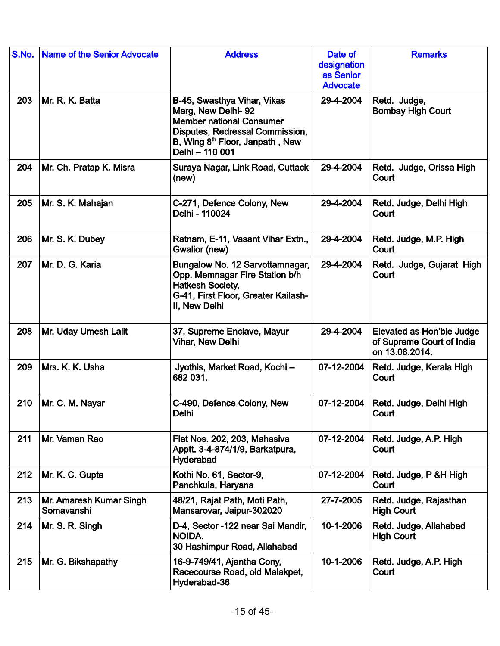| S.No. | <b>Name of the Senior Advocate</b>    | <b>Address</b>                                                                                                                                                                            | Date of<br>designation<br>as Senior<br><b>Advocate</b> | <b>Remarks</b>                                                           |
|-------|---------------------------------------|-------------------------------------------------------------------------------------------------------------------------------------------------------------------------------------------|--------------------------------------------------------|--------------------------------------------------------------------------|
| 203   | Mr. R. K. Batta                       | B-45, Swasthya Vihar, Vikas<br>Marg, New Delhi-92<br><b>Member national Consumer</b><br>Disputes, Redressal Commission,<br>B, Wing 8 <sup>th</sup> Floor, Janpath, New<br>Delhi - 110 001 | 29-4-2004                                              | Retd. Judge,<br><b>Bombay High Court</b>                                 |
| 204   | Mr. Ch. Pratap K. Misra               | Suraya Nagar, Link Road, Cuttack<br>(new)                                                                                                                                                 | 29-4-2004                                              | Retd. Judge, Orissa High<br>Court                                        |
| 205   | Mr. S. K. Mahajan                     | C-271, Defence Colony, New<br>Delhi - 110024                                                                                                                                              | 29-4-2004                                              | Retd. Judge, Delhi High<br>Court                                         |
| 206   | Mr. S. K. Dubey                       | Ratnam, E-11, Vasant Vihar Extn.,<br>Gwalior (new)                                                                                                                                        | 29-4-2004                                              | Retd. Judge, M.P. High<br>Court                                          |
| 207   | Mr. D. G. Karia                       | Bungalow No. 12 Sarvottamnagar,<br>Opp. Memnagar Fire Station b/h<br><b>Hatkesh Society,</b><br>G-41, First Floor, Greater Kailash-<br>II, New Delhi                                      | 29-4-2004                                              | Retd. Judge, Gujarat High<br>Court                                       |
| 208   | Mr. Uday Umesh Lalit                  | 37, Supreme Enclave, Mayur<br><b>Vihar, New Delhi</b>                                                                                                                                     | 29-4-2004                                              | Elevated as Hon'ble Judge<br>of Supreme Court of India<br>on 13.08.2014. |
| 209   | Mrs. K. K. Usha                       | Jyothis, Market Road, Kochi-<br>682 031.                                                                                                                                                  | 07-12-2004                                             | Retd. Judge, Kerala High<br>Court                                        |
| 210   | Mr. C. M. Nayar                       | C-490, Defence Colony, New<br>Delhi                                                                                                                                                       | 07-12-2004                                             | Retd. Judge, Delhi High<br>Court                                         |
| 211   | Mr. Vaman Rao                         | Flat Nos. 202, 203, Mahasiva<br>Apptt. 3-4-874/1/9, Barkatpura,<br>Hyderabad                                                                                                              | 07-12-2004                                             | Retd. Judge, A.P. High<br>Court                                          |
| 212   | Mr. K. C. Gupta                       | Kothi No. 61, Sector-9,<br>Panchkula, Haryana                                                                                                                                             | 07-12-2004                                             | Retd. Judge, P & H High<br>Court                                         |
| 213   | Mr. Amaresh Kumar Singh<br>Somavanshi | 48/21, Rajat Path, Moti Path,<br>Mansarovar, Jaipur-302020                                                                                                                                | 27-7-2005                                              | Retd. Judge, Rajasthan<br><b>High Court</b>                              |
| 214   | Mr. S. R. Singh                       | D-4, Sector -122 near Sai Mandir,<br>NOIDA.<br>30 Hashimpur Road, Allahabad                                                                                                               | 10-1-2006                                              | Retd. Judge, Allahabad<br><b>High Court</b>                              |
| 215   | Mr. G. Bikshapathy                    | 16-9-749/41, Ajantha Cony,<br>Racecourse Road, old Malakpet,<br>Hyderabad-36                                                                                                              | 10-1-2006                                              | Retd. Judge, A.P. High<br>Court                                          |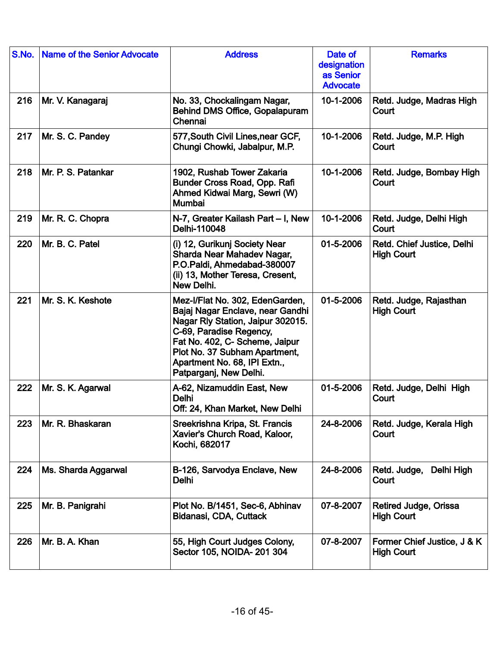| S.No. | <b>Name of the Senior Advocate</b> | <b>Address</b>                                                                                                                                                                                                                                                   | Date of<br>designation<br>as Senior<br><b>Advocate</b> | <b>Remarks</b>                                   |
|-------|------------------------------------|------------------------------------------------------------------------------------------------------------------------------------------------------------------------------------------------------------------------------------------------------------------|--------------------------------------------------------|--------------------------------------------------|
| 216   | Mr. V. Kanagaraj                   | No. 33, Chockalingam Nagar,<br><b>Behind DMS Office, Gopalapuram</b><br>Chennai                                                                                                                                                                                  | 10-1-2006                                              | Retd. Judge, Madras High<br>Court                |
| 217   | Mr. S. C. Pandey                   | 577, South Civil Lines, near GCF,<br>Chungi Chowki, Jabalpur, M.P.                                                                                                                                                                                               | 10-1-2006                                              | Retd. Judge, M.P. High<br>Court                  |
| 218   | Mr. P. S. Patankar                 | 1902, Rushab Tower Zakaria<br>Bunder Cross Road, Opp. Rafi<br>Ahmed Kidwai Marg, Sewri (W)<br>Mumbai                                                                                                                                                             | 10-1-2006                                              | Retd. Judge, Bombay High<br>Court                |
| 219   | Mr. R. C. Chopra                   | N-7, Greater Kailash Part - I, New<br>Delhi-110048                                                                                                                                                                                                               | 10-1-2006                                              | Retd. Judge, Delhi High<br>Court                 |
| 220   | Mr. B. C. Patel                    | (i) 12, Gurikunj Society Near<br>Sharda Near Mahadev Nagar,<br>P.O.Paldi, Ahmedabad-380007<br>(ii) 13, Mother Teresa, Cresent,<br>New Delhi.                                                                                                                     | 01-5-2006                                              | Retd. Chief Justice, Delhi<br><b>High Court</b>  |
| 221   | Mr. S. K. Keshote                  | Mez-I/Flat No. 302, EdenGarden,<br>Bajaj Nagar Enclave, near Gandhi<br>Nagar Rly Station, Jaipur 302015.<br>C-69, Paradise Regency,<br>Fat No. 402, C- Scheme, Jaipur<br>Plot No. 37 Subham Apartment,<br>Apartment No. 68, IPI Extn.,<br>Patparganj, New Delhi. | 01-5-2006                                              | Retd. Judge, Rajasthan<br><b>High Court</b>      |
| 222   | Mr. S. K. Agarwal                  | A-62, Nizamuddin East, New<br><b>Delhi</b><br>Off: 24, Khan Market, New Delhi                                                                                                                                                                                    | 01-5-2006                                              | Retd. Judge, Delhi High<br>Court                 |
| 223   | Mr. R. Bhaskaran                   | Sreekrishna Kripa, St. Francis<br>Xavier's Church Road, Kaloor,<br>Kochi, 682017                                                                                                                                                                                 | 24-8-2006                                              | Retd. Judge, Kerala High<br>Court                |
| 224   | Ms. Sharda Aggarwal                | B-126, Sarvodya Enclave, New<br><b>Delhi</b>                                                                                                                                                                                                                     | 24-8-2006                                              | Retd. Judge, Delhi High<br>Court                 |
| 225   | Mr. B. Panigrahi                   | Plot No. B/1451, Sec-6, Abhinav<br>Bidanasi, CDA, Cuttack                                                                                                                                                                                                        | 07-8-2007                                              | Retired Judge, Orissa<br><b>High Court</b>       |
| 226   | Mr. B. A. Khan                     | 55, High Court Judges Colony,<br>Sector 105, NOIDA- 201 304                                                                                                                                                                                                      | 07-8-2007                                              | Former Chief Justice, J & K<br><b>High Court</b> |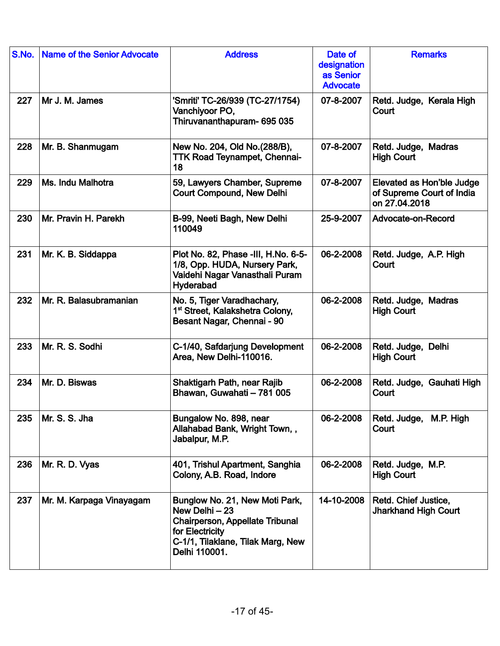| S.No. | <b>Name of the Senior Advocate</b> | <b>Address</b>                                                                                                                                               | Date of<br>designation<br>as Senior<br><b>Advocate</b> | <b>Remarks</b>                                                          |
|-------|------------------------------------|--------------------------------------------------------------------------------------------------------------------------------------------------------------|--------------------------------------------------------|-------------------------------------------------------------------------|
| 227   | Mr J. M. James                     | 'Smriti' TC-26/939 (TC-27/1754)<br>Vanchiyoor PO,<br>Thiruvananthapuram- 695 035                                                                             | 07-8-2007                                              | Retd. Judge, Kerala High<br>Court                                       |
| 228   | Mr. B. Shanmugam                   | New No. 204, Old No. (288/B),<br><b>TTK Road Teynampet, Chennai-</b><br>18                                                                                   | 07-8-2007                                              | Retd. Judge, Madras<br><b>High Court</b>                                |
| 229   | Ms. Indu Malhotra                  | 59, Lawyers Chamber, Supreme<br><b>Court Compound, New Delhi</b>                                                                                             | 07-8-2007                                              | Elevated as Hon'ble Judge<br>of Supreme Court of India<br>on 27.04.2018 |
| 230   | Mr. Pravin H. Parekh               | B-99, Neeti Bagh, New Delhi<br>110049                                                                                                                        | 25-9-2007                                              | Advocate-on-Record                                                      |
| 231   | Mr. K. B. Siddappa                 | Plot No. 82, Phase -III, H.No. 6-5-<br>1/8, Opp. HUDA, Nursery Park,<br>Vaidehi Nagar Vanasthali Puram<br>Hyderabad                                          | 06-2-2008                                              | Retd. Judge, A.P. High<br>Court                                         |
| 232   | Mr. R. Balasubramanian             | No. 5, Tiger Varadhachary,<br>1 <sup>st</sup> Street, Kalakshetra Colony,<br>Besant Nagar, Chennai - 90                                                      | 06-2-2008                                              | Retd. Judge, Madras<br><b>High Court</b>                                |
| 233   | Mr. R. S. Sodhi                    | C-1/40, Safdarjung Development<br>Area, New Delhi-110016.                                                                                                    | 06-2-2008                                              | Retd. Judge, Delhi<br><b>High Court</b>                                 |
| 234   | Mr. D. Biswas                      | Shaktigarh Path, near Rajib<br>Bhawan, Guwahati - 781 005                                                                                                    | 06-2-2008                                              | Retd. Judge, Gauhati High<br>Court                                      |
| 235   | Mr. S. S. Jha                      | Bungalow No. 898, near<br>Allahabad Bank, Wright Town,,<br>Jabalpur, M.P.                                                                                    | 06-2-2008                                              | Retd. Judge, M.P. High<br>Court                                         |
| 236   | Mr. R. D. Vyas                     | 401, Trishul Apartment, Sanghia<br>Colony, A.B. Road, Indore                                                                                                 | 06-2-2008                                              | Retd. Judge, M.P.<br><b>High Court</b>                                  |
| 237   | Mr. M. Karpaga Vinayagam           | Bunglow No. 21, New Moti Park,<br>New Delhi - 23<br>Chairperson, Appellate Tribunal<br>for Electricity<br>C-1/1, Tilaklane, Tilak Marg, New<br>Delhi 110001. | 14-10-2008                                             | Retd. Chief Justice,<br><b>Jharkhand High Court</b>                     |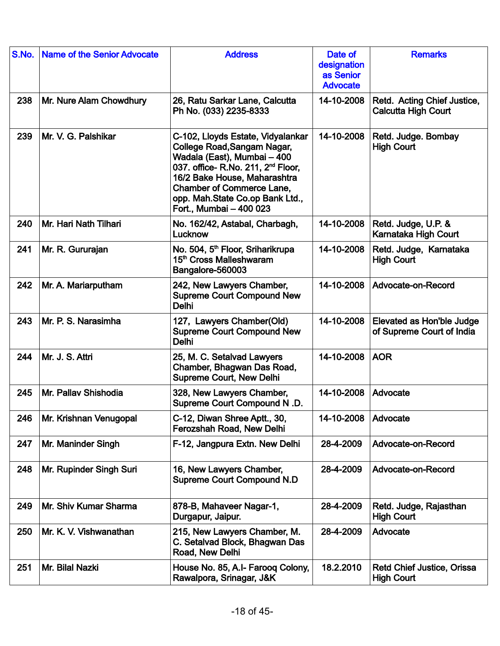| S.No. | <b>Name of the Senior Advocate</b> | <b>Address</b>                                                                                                                                                                                                                                                                      | Date of<br>designation<br>as Senior<br><b>Advocate</b> | <b>Remarks</b>                                            |
|-------|------------------------------------|-------------------------------------------------------------------------------------------------------------------------------------------------------------------------------------------------------------------------------------------------------------------------------------|--------------------------------------------------------|-----------------------------------------------------------|
| 238   | Mr. Nure Alam Chowdhury            | 26, Ratu Sarkar Lane, Calcutta<br>Ph No. (033) 2235-8333                                                                                                                                                                                                                            | 14-10-2008                                             | Retd. Acting Chief Justice,<br><b>Calcutta High Court</b> |
| 239   | Mr. V. G. Palshikar                | C-102, Lloyds Estate, Vidyalankar<br>College Road, Sangam Nagar,<br>Wadala (East), Mumbai - 400<br>037. office- R.No. 211, 2 <sup>nd</sup> Floor,<br>16/2 Bake House, Maharashtra<br><b>Chamber of Commerce Lane,</b><br>opp. Mah.State Co.op Bank Ltd.,<br>Fort., Mumbai - 400 023 | 14-10-2008                                             | Retd. Judge. Bombay<br><b>High Court</b>                  |
| 240   | Mr. Hari Nath Tilhari              | No. 162/42, Astabal, Charbagh,<br>Lucknow                                                                                                                                                                                                                                           | 14-10-2008                                             | Retd. Judge, U.P. &<br>Karnataka High Court               |
| 241   | Mr. R. Gururajan                   | No. 504, 5 <sup>th</sup> Floor, Sriharikrupa<br>15 <sup>th</sup> Cross Malleshwaram<br>Bangalore-560003                                                                                                                                                                             | 14-10-2008                                             | Retd. Judge, Karnataka<br><b>High Court</b>               |
| 242   | Mr. A. Mariarputham                | 242, New Lawyers Chamber,<br><b>Supreme Court Compound New</b><br><b>Delhi</b>                                                                                                                                                                                                      | 14-10-2008                                             | Advocate-on-Record                                        |
| 243   | Mr. P. S. Narasimha                | 127, Lawyers Chamber(Old)<br><b>Supreme Court Compound New</b><br><b>Delhi</b>                                                                                                                                                                                                      | 14-10-2008                                             | Elevated as Hon'ble Judge<br>of Supreme Court of India    |
| 244   | Mr. J. S. Attri                    | 25, M. C. Setalvad Lawyers<br>Chamber, Bhagwan Das Road,<br><b>Supreme Court, New Delhi</b>                                                                                                                                                                                         | 14-10-2008                                             | <b>AOR</b>                                                |
| 245   | Mr. Pallav Shishodia               | 328, New Lawyers Chamber,<br>Supreme Court Compound N.D.                                                                                                                                                                                                                            | 14-10-2008                                             | Advocate                                                  |
| 246   | Mr. Krishnan Venugopal             | C-12, Diwan Shree Aptt., 30,<br>Ferozshah Road, New Delhi                                                                                                                                                                                                                           | 14-10-2008                                             | Advocate                                                  |
| 247   | Mr. Maninder Singh                 | F-12, Jangpura Extn. New Delhi                                                                                                                                                                                                                                                      | 28-4-2009                                              | Advocate-on-Record                                        |
| 248   | Mr. Rupinder Singh Suri            | 16, New Lawyers Chamber,<br><b>Supreme Court Compound N.D</b>                                                                                                                                                                                                                       | 28-4-2009                                              | Advocate-on-Record                                        |
| 249   | Mr. Shiv Kumar Sharma              | 878-B, Mahaveer Nagar-1,<br>Durgapur, Jaipur.                                                                                                                                                                                                                                       | 28-4-2009                                              | Retd. Judge, Rajasthan<br><b>High Court</b>               |
| 250   | Mr. K. V. Vishwanathan             | 215, New Lawyers Chamber, M.<br>C. Setalvad Block, Bhagwan Das<br>Road, New Delhi                                                                                                                                                                                                   | 28-4-2009                                              | Advocate                                                  |
| 251   | Mr. Bilal Nazki                    | House No. 85, A.I- Faroog Colony,<br>Rawalpora, Srinagar, J&K                                                                                                                                                                                                                       | 18.2.2010                                              | Retd Chief Justice, Orissa<br><b>High Court</b>           |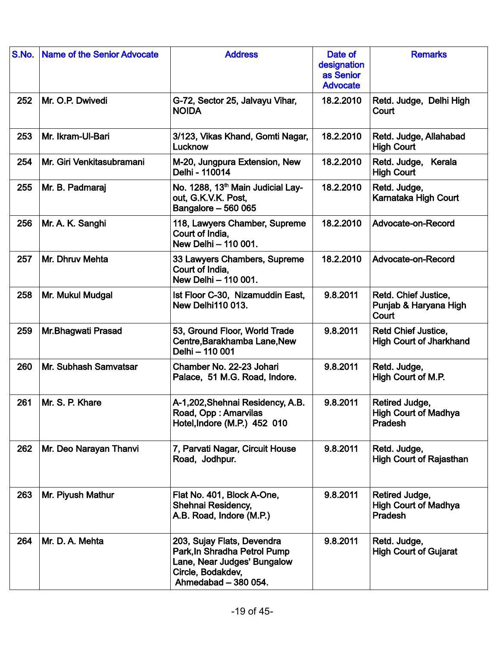| S.No. | <b>Name of the Senior Advocate</b> | <b>Address</b>                                                                                                                         | Date of<br>designation<br>as Senior<br><b>Advocate</b> | <b>Remarks</b>                                                  |
|-------|------------------------------------|----------------------------------------------------------------------------------------------------------------------------------------|--------------------------------------------------------|-----------------------------------------------------------------|
| 252   | Mr. O.P. Dwivedi                   | G-72, Sector 25, Jalvayu Vihar,<br><b>NOIDA</b>                                                                                        | 18.2.2010                                              | Retd. Judge, Delhi High<br>Court                                |
| 253   | Mr. Ikram-Ul-Bari                  | 3/123, Vikas Khand, Gomti Nagar,<br>Lucknow                                                                                            | 18.2.2010                                              | Retd. Judge, Allahabad<br><b>High Court</b>                     |
| 254   | Mr. Giri Venkitasubramani          | M-20, Jungpura Extension, New<br>Delhi - 110014                                                                                        | 18.2.2010                                              | Retd. Judge,<br>Kerala<br><b>High Court</b>                     |
| 255   | Mr. B. Padmaraj                    | No. 1288, 13 <sup>th</sup> Main Judicial Lay-<br>out, G.K.V.K. Post,<br>Bangalore - 560 065                                            | 18.2.2010                                              | Retd. Judge,<br>Karnataka High Court                            |
| 256   | Mr. A. K. Sanghi                   | 118, Lawyers Chamber, Supreme<br>Court of India,<br>New Delhi - 110 001.                                                               | 18.2.2010                                              | Advocate-on-Record                                              |
| 257   | Mr. Dhruv Mehta                    | 33 Lawyers Chambers, Supreme<br>Court of India,<br>New Delhi - 110 001.                                                                | 18.2.2010                                              | Advocate-on-Record                                              |
| 258   | Mr. Mukul Mudgal                   | Ist Floor C-30, Nizamuddin East,<br><b>New Delhi110 013.</b>                                                                           | 9.8.2011                                               | Retd. Chief Justice,<br>Punjab & Haryana High<br>Court          |
| 259   | Mr.Bhagwati Prasad                 | 53, Ground Floor, World Trade<br>Centre, Barakhamba Lane, New<br>Delhi - 110 001                                                       | 9.8.2011                                               | <b>Retd Chief Justice,</b><br><b>High Court of Jharkhand</b>    |
| 260   | Mr. Subhash Samvatsar              | Chamber No. 22-23 Johari<br>Palace, 51 M.G. Road, Indore.                                                                              | 9.8.2011                                               | Retd. Judge,<br>High Court of M.P.                              |
| 261   | Mr. S. P. Khare                    | A-1,202, Shehnai Residency, A.B.<br>Road, Opp: Amarvilas<br>Hotel, Indore (M.P.) 452 010                                               | 9.8.2011                                               | Retired Judge,<br><b>High Court of Madhya</b><br><b>Pradesh</b> |
| 262   | Mr. Deo Narayan Thanvi             | 7, Parvati Nagar, Circuit House<br>Road, Jodhpur.                                                                                      | 9.8.2011                                               | Retd. Judge,<br><b>High Court of Rajasthan</b>                  |
| 263   | Mr. Piyush Mathur                  | Flat No. 401, Block A-One,<br>Shehnai Residency,<br>A.B. Road, Indore (M.P.)                                                           | 9.8.2011                                               | Retired Judge,<br><b>High Court of Madhya</b><br>Pradesh        |
| 264   | Mr. D. A. Mehta                    | 203, Sujay Flats, Devendra<br>Park, In Shradha Petrol Pump<br>Lane, Near Judges' Bungalow<br>Circle, Bodakdev,<br>Ahmedabad - 380 054. | 9.8.2011                                               | Retd. Judge,<br><b>High Court of Gujarat</b>                    |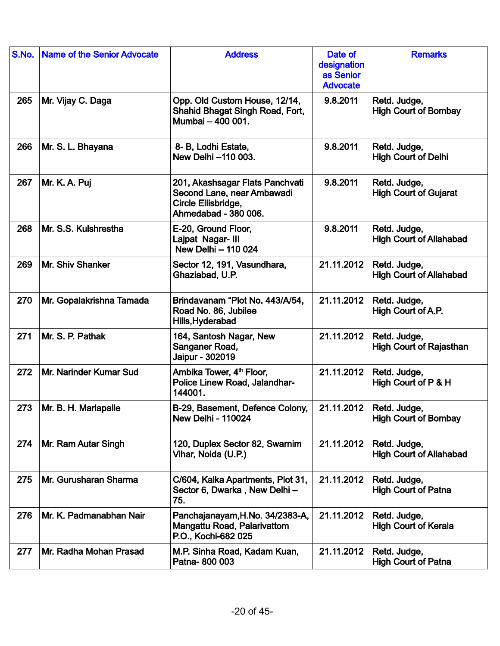| S.No. | <b>Name of the Senior Advocate</b> | <b>Address</b>                                                                                               | Date of<br>designation<br>as Senior<br><b>Advocate</b> | <b>Remarks</b>                                 |
|-------|------------------------------------|--------------------------------------------------------------------------------------------------------------|--------------------------------------------------------|------------------------------------------------|
| 265   | Mr. Vijay C. Daga                  | Opp. Old Custom House, 12/14,<br>Shahid Bhagat Singh Road, Fort,<br>Mumbai - 400 001.                        | 9.8.2011                                               | Retd. Judge,<br><b>High Court of Bombay</b>    |
| 266   | Mr. S. L. Bhayana                  | 8- B, Lodhi Estate,<br>New Delhi -110 003.                                                                   | 9.8.2011                                               | Retd. Judge,<br><b>High Court of Delhi</b>     |
| 267   | Mr. K. A. Puj                      | 201, Akashsagar Flats Panchvati<br>Second Lane, near Ambawadi<br>Circle Ellisbridge,<br>Ahmedabad - 380 006. | 9.8.2011                                               | Retd. Judge,<br><b>High Court of Gujarat</b>   |
| 268   | Mr. S.S. Kulshrestha               | E-20, Ground Floor,<br>Lajpat Nagar- III<br>New Delhi - 110 024                                              | 9.8.2011                                               | Retd. Judge,<br><b>High Court of Allahabad</b> |
| 269   | Mr. Shiv Shanker                   | Sector 12, 191, Vasundhara,<br>Ghaziabad, U.P.                                                               | 21.11.2012                                             | Retd. Judge,<br><b>High Court of Allahabad</b> |
| 270   | Mr. Gopalakrishna Tamada           | Brindavanam "Plot No. 443/A/54,<br>Road No. 86, Jubilee<br>Hills, Hyderabad                                  | 21.11.2012                                             | Retd. Judge,<br>High Court of A.P.             |
| 271   | Mr. S. P. Pathak                   | 164, Santosh Nagar, New<br>Sanganer Road,<br>Jaipur - 302019                                                 | 21.11.2012                                             | Retd. Judge,<br><b>High Court of Rajasthan</b> |
| 272   | Mr. Narinder Kumar Sud             | Ambika Tower, 4 <sup>th</sup> Floor,<br>Police Linew Road, Jalandhar-<br>144001.                             | 21.11.2012                                             | Retd. Judge,<br>High Court of P & H            |
| 273   | Mr. B. H. Marlapalle               | B-29, Basement, Defence Colony,<br><b>New Delhi - 110024</b>                                                 | 21.11.2012                                             | Retd. Judge,<br><b>High Court of Bombay</b>    |
| 274   | Mr. Ram Autar Singh                | 120, Duplex Sector 82, Swarnim<br>Vihar, Noida (U.P.)                                                        | 21.11.2012                                             | Retd. Judge,<br><b>High Court of Allahabad</b> |
| 275   | Mr. Gurusharan Sharma              | C/604, Kalka Apartments, Plot 31,<br>Sector 6, Dwarka, New Delhi-<br>75.                                     | 21.11.2012                                             | Retd. Judge,<br><b>High Court of Patna</b>     |
| 276   | Mr. K. Padmanabhan Nair            | Panchajanayam, H.No. 34/2383-A,<br>Mangattu Road, Palarivattom<br>P.O., Kochi-682 025                        | 21.11.2012                                             | Retd. Judge,<br><b>High Court of Kerala</b>    |
| 277   | Mr. Radha Mohan Prasad             | M.P. Sinha Road, Kadam Kuan,<br>Patna-800 003                                                                | 21.11.2012                                             | Retd. Judge,<br><b>High Court of Patna</b>     |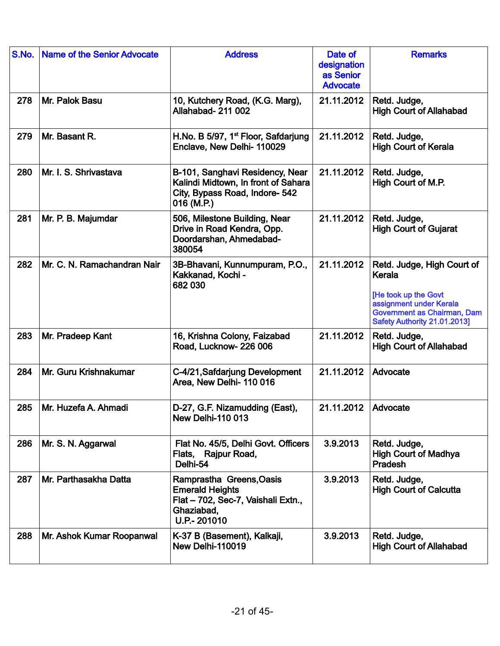| S.No. | <b>Name of the Senior Advocate</b> | <b>Address</b>                                                                                                         | Date of<br>designation<br>as Senior<br><b>Advocate</b> | <b>Remarks</b>                                                                                                                                         |
|-------|------------------------------------|------------------------------------------------------------------------------------------------------------------------|--------------------------------------------------------|--------------------------------------------------------------------------------------------------------------------------------------------------------|
| 278   | Mr. Palok Basu                     | 10, Kutchery Road, (K.G. Marg),<br><b>Allahabad- 211 002</b>                                                           | 21.11.2012                                             | Retd. Judge,<br><b>High Court of Allahabad</b>                                                                                                         |
| 279   | Mr. Basant R.                      | H.No. B 5/97, 1 <sup>st</sup> Floor, Safdarjung<br>Enclave, New Delhi- 110029                                          | 21.11.2012                                             | Retd. Judge,<br><b>High Court of Kerala</b>                                                                                                            |
| 280   | Mr. I. S. Shrivastava              | B-101, Sanghavi Residency, Near<br>Kalindi Midtown, In front of Sahara<br>City, Bypass Road, Indore- 542<br>016 (M.P.) | 21.11.2012                                             | Retd. Judge,<br>High Court of M.P.                                                                                                                     |
| 281   | Mr. P. B. Majumdar                 | 506, Milestone Building, Near<br>Drive in Road Kendra, Opp.<br>Doordarshan, Ahmedabad-<br>380054                       | 21.11.2012                                             | Retd. Judge,<br><b>High Court of Gujarat</b>                                                                                                           |
| 282   | Mr. C. N. Ramachandran Nair        | 3B-Bhavani, Kunnumpuram, P.O.,<br>Kakkanad, Kochi -<br>682 030                                                         | 21.11.2012                                             | Retd. Judge, High Court of<br>Kerala<br>[He took up the Govt<br>assignment under Kerala<br>Government as Chairman, Dam<br>Safety Authority 21.01.2013] |
| 283   | Mr. Pradeep Kant                   | 16, Krishna Colony, Faizabad<br>Road, Lucknow-226 006                                                                  | 21.11.2012                                             | Retd. Judge,<br><b>High Court of Allahabad</b>                                                                                                         |
| 284   | Mr. Guru Krishnakumar              | C-4/21, Safdarjung Development<br>Area, New Delhi- 110 016                                                             | 21.11.2012                                             | Advocate                                                                                                                                               |
| 285   | Mr. Huzefa A. Ahmadi               | D-27, G.F. Nizamudding (East),<br><b>New Delhi-110 013</b>                                                             | 21.11.2012                                             | Advocate                                                                                                                                               |
| 286   | Mr. S. N. Aggarwal                 | Flat No. 45/5, Delhi Govt. Officers<br>Flats, Rajpur Road,<br>Delhi-54                                                 | 3.9.2013                                               | Retd. Judge,<br><b>High Court of Madhya</b><br>Pradesh                                                                                                 |
| 287   | Mr. Parthasakha Datta              | Ramprastha Greens, Oasis<br><b>Emerald Heights</b><br>Flat - 702, Sec-7, Vaishali Extn.,<br>Ghaziabad,<br>U.P.- 201010 | 3.9.2013                                               | Retd. Judge,<br><b>High Court of Calcutta</b>                                                                                                          |
| 288   | Mr. Ashok Kumar Roopanwal          | K-37 B (Basement), Kalkaji,<br>New Delhi-110019                                                                        | 3.9.2013                                               | Retd. Judge,<br><b>High Court of Allahabad</b>                                                                                                         |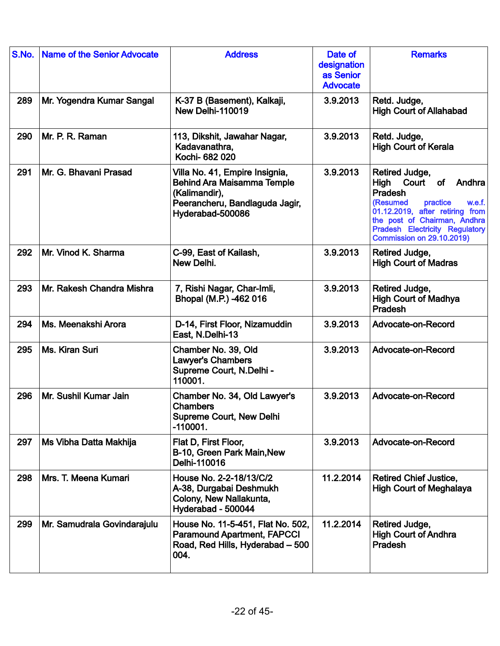| S.No. | <b>Name of the Senior Advocate</b> | <b>Address</b>                                                                                                                             | Date of<br>designation<br>as Senior<br><b>Advocate</b> | <b>Remarks</b>                                                                                                                                                                                                                        |
|-------|------------------------------------|--------------------------------------------------------------------------------------------------------------------------------------------|--------------------------------------------------------|---------------------------------------------------------------------------------------------------------------------------------------------------------------------------------------------------------------------------------------|
| 289   | Mr. Yogendra Kumar Sangal          | K-37 B (Basement), Kalkaji,<br>New Delhi-110019                                                                                            | 3.9.2013                                               | Retd. Judge,<br><b>High Court of Allahabad</b>                                                                                                                                                                                        |
| 290   | Mr. P. R. Raman                    | 113, Dikshit, Jawahar Nagar,<br>Kadavanathra,<br>Kochi- 682 020                                                                            | 3.9.2013                                               | Retd. Judge,<br><b>High Court of Kerala</b>                                                                                                                                                                                           |
| 291   | Mr. G. Bhavani Prasad              | Villa No. 41, Empire Insignia,<br><b>Behind Ara Maisamma Temple</b><br>(Kalimandir),<br>Peerancheru, Bandlaguda Jagir,<br>Hyderabad-500086 | 3.9.2013                                               | Retired Judge,<br>High<br>Court<br>of<br>Andhra<br>Pradesh<br>practice<br>(Resumed<br>w.e.f.<br>01.12.2019, after retiring from<br>the post of Chairman, Andhra<br>Pradesh Electricity Regulatory<br><b>Commission on 29.10.2019)</b> |
| 292   | Mr. Vinod K. Sharma                | C-99, East of Kailash,<br>New Delhi.                                                                                                       | 3.9.2013                                               | Retired Judge,<br><b>High Court of Madras</b>                                                                                                                                                                                         |
| 293   | Mr. Rakesh Chandra Mishra          | 7, Rishi Nagar, Char-Imli,<br>Bhopal (M.P.) -462 016                                                                                       | 3.9.2013                                               | Retired Judge,<br><b>High Court of Madhya</b><br>Pradesh                                                                                                                                                                              |
| 294   | Ms. Meenakshi Arora                | D-14, First Floor, Nizamuddin<br>East, N.Delhi-13                                                                                          | 3.9.2013                                               | Advocate-on-Record                                                                                                                                                                                                                    |
| 295   | Ms. Kiran Suri                     | Chamber No. 39, Old<br><b>Lawyer's Chambers</b><br>Supreme Court, N.Delhi -<br>110001.                                                     | 3.9.2013                                               | Advocate-on-Record                                                                                                                                                                                                                    |
| 296   | Mr. Sushil Kumar Jain              | Chamber No. 34, Old Lawyer's<br><b>Chambers</b><br><b>Supreme Court, New Delhi</b><br>$-110001.$                                           | 3.9.2013                                               | Advocate-on-Record                                                                                                                                                                                                                    |
| 297   | Ms Vibha Datta Makhija             | Flat D, First Floor,<br>B-10, Green Park Main, New<br>Delhi-110016                                                                         | 3.9.2013                                               | Advocate-on-Record                                                                                                                                                                                                                    |
| 298   | Mrs. T. Meena Kumari               | House No. 2-2-18/13/C/2<br>A-38, Durgabai Deshmukh<br>Colony, New Nallakunta,<br>Hyderabad - 500044                                        | 11.2.2014                                              | <b>Retired Chief Justice,</b><br><b>High Court of Meghalaya</b>                                                                                                                                                                       |
| 299   | Mr. Samudrala Govindarajulu        | House No. 11-5-451, Flat No. 502,<br><b>Paramound Apartment, FAPCCI</b><br>Road, Red Hills, Hyderabad - 500<br>004.                        | 11.2.2014                                              | Retired Judge,<br><b>High Court of Andhra</b><br>Pradesh                                                                                                                                                                              |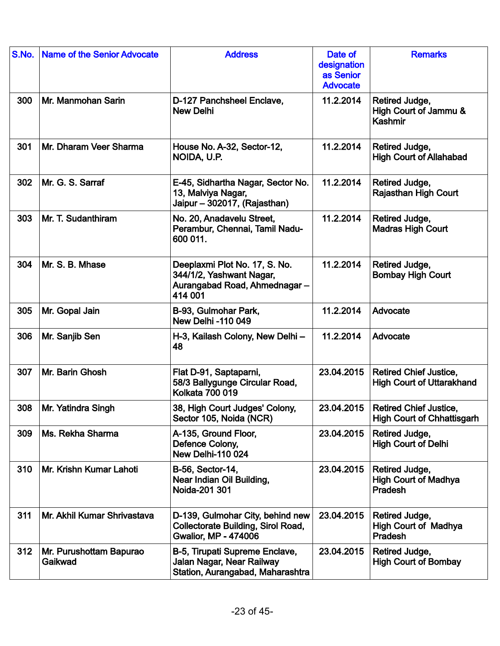| S.No. | <b>Name of the Senior Advocate</b> | <b>Address</b>                                                                                               | Date of<br>designation<br>as Senior<br><b>Advocate</b> | <b>Remarks</b>                                                     |
|-------|------------------------------------|--------------------------------------------------------------------------------------------------------------|--------------------------------------------------------|--------------------------------------------------------------------|
| 300   | Mr. Manmohan Sarin                 | D-127 Panchsheel Enclave,<br><b>New Delhi</b>                                                                | 11.2.2014                                              | Retired Judge,<br>High Court of Jammu &<br>Kashmir                 |
| 301   | Mr. Dharam Veer Sharma             | House No. A-32, Sector-12,<br>NOIDA, U.P.                                                                    | 11.2.2014                                              | Retired Judge,<br><b>High Court of Allahabad</b>                   |
| 302   | Mr. G. S. Sarraf                   | E-45, Sidhartha Nagar, Sector No.<br>13, Malviya Nagar,<br>Jaipur - 302017, (Rajasthan)                      | 11.2.2014                                              | Retired Judge,<br><b>Rajasthan High Court</b>                      |
| 303   | Mr. T. Sudanthiram                 | No. 20, Anadavelu Street,<br>Perambur, Chennai, Tamil Nadu-<br>600 011.                                      | 11.2.2014                                              | Retired Judge,<br><b>Madras High Court</b>                         |
| 304   | Mr. S. B. Mhase                    | Deeplaxmi Plot No. 17, S. No.<br>344/1/2, Yashwant Nagar,<br>Aurangabad Road, Ahmednagar-<br>414 001         | 11.2.2014                                              | Retired Judge,<br><b>Bombay High Court</b>                         |
| 305   | Mr. Gopal Jain                     | B-93, Gulmohar Park,<br><b>New Delhi-110 049</b>                                                             | 11.2.2014                                              | Advocate                                                           |
| 306   | Mr. Sanjib Sen                     | H-3, Kailash Colony, New Delhi -<br>48                                                                       | 11.2.2014                                              | Advocate                                                           |
| 307   | Mr. Barin Ghosh                    | Flat D-91, Saptaparni,<br>58/3 Ballygunge Circular Road,<br><b>Kolkata 700 019</b>                           | 23.04.2015                                             | <b>Retired Chief Justice,</b><br><b>High Court of Uttarakhand</b>  |
| 308   | Mr. Yatindra Singh                 | 38, High Court Judges' Colony,<br>Sector 105, Noida (NCR)                                                    | 23.04.2015                                             | <b>Retired Chief Justice,</b><br><b>High Court of Chhattisgarh</b> |
| 309   | Ms. Rekha Sharma                   | A-135, Ground Floor,<br>Defence Colony,<br><b>New Delhi-110 024</b>                                          | 23.04.2015                                             | Retired Judge,<br><b>High Court of Delhi</b>                       |
| 310   | Mr. Krishn Kumar Lahoti            | <b>B-56, Sector-14,</b><br>Near Indian Oil Building,<br>Noida-201 301                                        | 23.04.2015                                             | Retired Judge,<br><b>High Court of Madhya</b><br>Pradesh           |
| 311   | Mr. Akhil Kumar Shrivastava        | D-139, Gulmohar City, behind new<br><b>Collectorate Building, Sirol Road,</b><br><b>Gwalior, MP - 474006</b> | 23.04.2015                                             | Retired Judge,<br><b>High Court of Madhya</b><br><b>Pradesh</b>    |
| 312   | Mr. Purushottam Bapurao<br>Gaikwad | B-5, Tirupati Supreme Enclave,<br>Jalan Nagar, Near Railway<br>Station, Aurangabad, Maharashtra              | 23.04.2015                                             | Retired Judge,<br><b>High Court of Bombay</b>                      |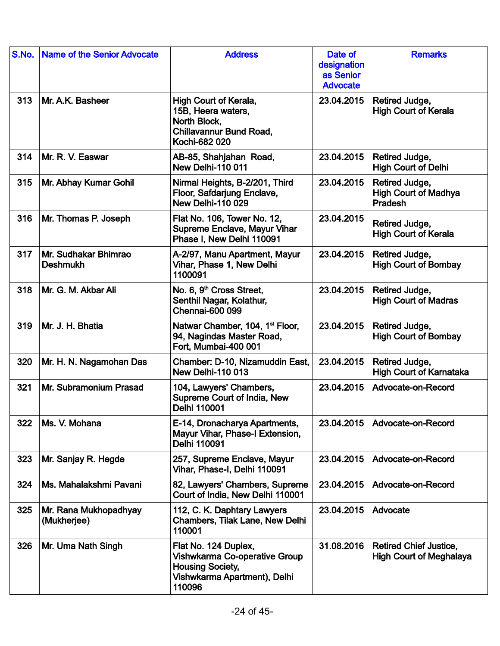| S.No. | <b>Name of the Senior Advocate</b>      | <b>Address</b>                                                                                                                    | Date of<br>designation<br>as Senior<br><b>Advocate</b> | <b>Remarks</b>                                                  |
|-------|-----------------------------------------|-----------------------------------------------------------------------------------------------------------------------------------|--------------------------------------------------------|-----------------------------------------------------------------|
| 313   | Mr. A.K. Basheer                        | High Court of Kerala,<br>15B, Heera waters,<br>North Block,<br><b>Chillavannur Bund Road,</b><br>Kochi-682 020                    | 23.04.2015                                             | Retired Judge,<br><b>High Court of Kerala</b>                   |
| 314   | Mr. R. V. Easwar                        | AB-85, Shahjahan Road,<br>New Delhi-110 011                                                                                       | 23.04.2015                                             | Retired Judge,<br><b>High Court of Delhi</b>                    |
| 315   | Mr. Abhay Kumar Gohil                   | Nirmal Heights, B-2/201, Third<br>Floor, Safdarjung Enclave,<br><b>New Delhi-110 029</b>                                          | 23.04.2015                                             | Retired Judge,<br><b>High Court of Madhya</b><br><b>Pradesh</b> |
| 316   | Mr. Thomas P. Joseph                    | Flat No. 106, Tower No. 12,<br><b>Supreme Enclave, Mayur Vihar</b><br>Phase I, New Delhi 110091                                   | 23.04.2015                                             | Retired Judge,<br><b>High Court of Kerala</b>                   |
| 317   | Mr. Sudhakar Bhimrao<br><b>Deshmukh</b> | A-2/97, Manu Apartment, Mayur<br>Vihar, Phase 1, New Delhi<br>1100091                                                             | 23.04.2015                                             | Retired Judge,<br><b>High Court of Bombay</b>                   |
| 318   | Mr. G. M. Akbar Ali                     | No. 6, 9 <sup>th</sup> Cross Street,<br>Senthil Nagar, Kolathur,<br><b>Chennai-600 099</b>                                        | 23.04.2015                                             | Retired Judge,<br><b>High Court of Madras</b>                   |
| 319   | Mr. J. H. Bhatia                        | Natwar Chamber, 104, 1 <sup>st</sup> Floor,<br>94, Nagindas Master Road,<br>Fort, Mumbai-400 001                                  | 23.04.2015                                             | Retired Judge,<br><b>High Court of Bombay</b>                   |
| 320   | Mr. H. N. Nagamohan Das                 | Chamber: D-10, Nizamuddin East,<br><b>New Delhi-110 013</b>                                                                       | 23.04.2015                                             | Retired Judge,<br><b>High Court of Karnataka</b>                |
| 321   | Mr. Subramonium Prasad                  | 104, Lawyers' Chambers,<br>Supreme Court of India, New<br>Delhi 110001                                                            | 23.04.2015                                             | Advocate-on-Record                                              |
| 322   | Ms. V. Mohana                           | E-14, Dronacharya Apartments,<br>Mayur Vihar, Phase-I Extension,<br>Delhi 110091                                                  | 23.04.2015                                             | Advocate-on-Record                                              |
| 323   | Mr. Sanjay R. Hegde                     | 257, Supreme Enclave, Mayur<br>Vihar, Phase-I, Delhi 110091                                                                       | 23.04.2015                                             | Advocate-on-Record                                              |
| 324   | Ms. Mahalakshmi Pavani                  | 82. Lawyers' Chambers, Supreme<br>Court of India, New Delhi 110001                                                                | 23.04.2015                                             | Advocate-on-Record                                              |
| 325   | Mr. Rana Mukhopadhyay<br>(Mukherjee)    | 112, C. K. Daphtary Lawyers<br>Chambers, Tilak Lane, New Delhi<br>110001                                                          | 23.04.2015                                             | Advocate                                                        |
| 326   | Mr. Uma Nath Singh                      | Flat No. 124 Duplex,<br><b>Vishwkarma Co-operative Group</b><br><b>Housing Society,</b><br>Vishwkarma Apartment), Delhi<br>110096 | 31.08.2016                                             | <b>Retired Chief Justice,</b><br><b>High Court of Meghalaya</b> |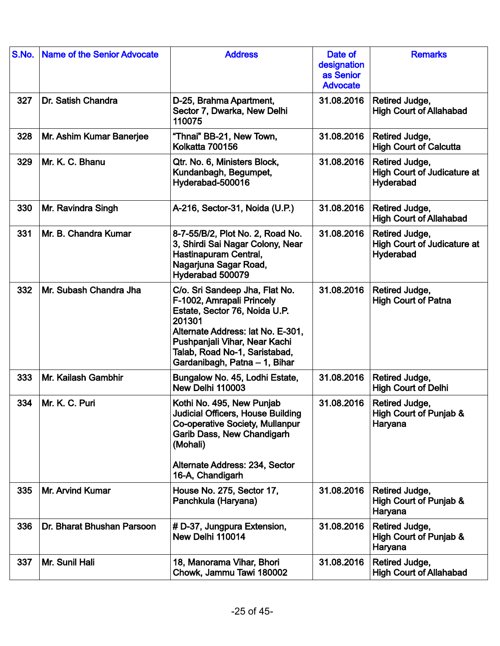| S.No. | <b>Name of the Senior Advocate</b> | <b>Address</b>                                                                                                                                                                                                                                 | Date of<br>designation<br>as Senior<br><b>Advocate</b> | <b>Remarks</b>                                                    |
|-------|------------------------------------|------------------------------------------------------------------------------------------------------------------------------------------------------------------------------------------------------------------------------------------------|--------------------------------------------------------|-------------------------------------------------------------------|
| 327   | Dr. Satish Chandra                 | D-25, Brahma Apartment,<br>Sector 7, Dwarka, New Delhi<br>110075                                                                                                                                                                               | 31.08.2016                                             | Retired Judge,<br><b>High Court of Allahabad</b>                  |
| 328   | Mr. Ashim Kumar Banerjee           | "Thnai" BB-21, New Town,<br>Kolkatta 700156                                                                                                                                                                                                    | 31.08.2016                                             | Retired Judge,<br><b>High Court of Calcutta</b>                   |
| 329   | Mr. K. C. Bhanu                    | Qtr. No. 6, Ministers Block,<br>Kundanbagh, Begumpet,<br>Hyderabad-500016                                                                                                                                                                      | 31.08.2016                                             | Retired Judge,<br><b>High Court of Judicature at</b><br>Hyderabad |
| 330   | Mr. Ravindra Singh                 | A-216, Sector-31, Noida (U.P.)                                                                                                                                                                                                                 | 31.08.2016                                             | Retired Judge,<br><b>High Court of Allahabad</b>                  |
| 331   | Mr. B. Chandra Kumar               | 8-7-55/B/2, Plot No. 2, Road No.<br>3, Shirdi Sai Nagar Colony, Near<br>Hastinapuram Central,<br>Nagarjuna Sagar Road,<br>Hyderabad 500079                                                                                                     | 31.08.2016                                             | Retired Judge,<br><b>High Court of Judicature at</b><br>Hyderabad |
| 332   | Mr. Subash Chandra Jha             | C/o. Sri Sandeep Jha, Flat No.<br>F-1002, Amrapali Princely<br>Estate, Sector 76, Noida U.P.<br>201301<br>Alternate Address: lat No. E-301,<br>Pushpanjali Vihar, Near Kachi<br>Talab, Road No-1, Saristabad,<br>Gardanibagh, Patna - 1, Bihar | 31.08.2016                                             | Retired Judge,<br><b>High Court of Patna</b>                      |
| 333   | Mr. Kailash Gambhir                | Bungalow No. 45, Lodhi Estate,<br>New Delhi 110003                                                                                                                                                                                             | 31.08.2016                                             | Retired Judge,<br><b>High Court of Delhi</b>                      |
| 334   | Mr. K. C. Puri                     | Kothi No. 495, New Punjab<br>Judicial Officers, House Building<br><b>Co-operative Society, Mullanpur</b><br>Garib Dass, New Chandigarh<br>(Mohali)<br>Alternate Address: 234, Sector<br>16-A, Chandigarh                                       | 31.08.2016                                             | Retired Judge,<br>High Court of Punjab &<br>Haryana               |
| 335   | Mr. Arvind Kumar                   | House No. 275, Sector 17,<br>Panchkula (Haryana)                                                                                                                                                                                               | 31.08.2016                                             | Retired Judge,<br>High Court of Punjab &<br>Haryana               |
| 336   | Dr. Bharat Bhushan Parsoon         | # D-37, Jungpura Extension,<br>New Delhi 110014                                                                                                                                                                                                | 31.08.2016                                             | Retired Judge,<br>High Court of Punjab &<br>Haryana               |
| 337   | Mr. Sunil Hali                     | 18, Manorama Vihar, Bhori<br>Chowk, Jammu Tawi 180002                                                                                                                                                                                          | 31.08.2016                                             | Retired Judge,<br><b>High Court of Allahabad</b>                  |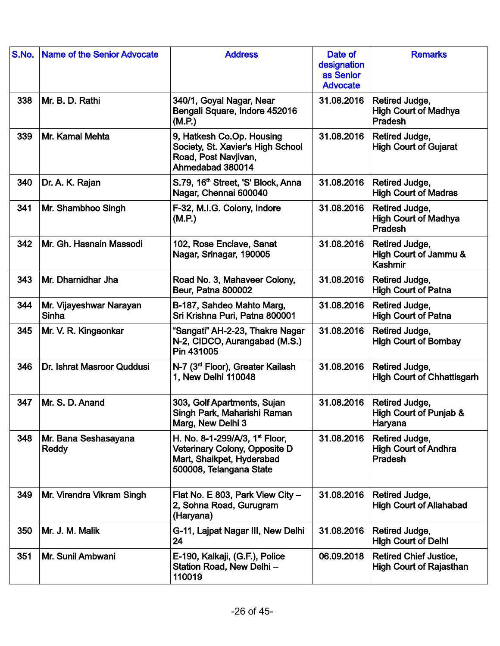| S.No. | <b>Name of the Senior Advocate</b>      | <b>Address</b>                                                                                                            | Date of<br>designation<br>as Senior<br><b>Advocate</b> | <b>Remarks</b>                                                  |
|-------|-----------------------------------------|---------------------------------------------------------------------------------------------------------------------------|--------------------------------------------------------|-----------------------------------------------------------------|
| 338   | Mr. B. D. Rathi                         | 340/1, Goyal Nagar, Near<br>Bengali Square, Indore 452016<br>(M.P.)                                                       | 31.08.2016                                             | Retired Judge,<br><b>High Court of Madhya</b><br>Pradesh        |
| 339   | Mr. Kamal Mehta                         | 9, Hatkesh Co.Op. Housing<br>Society, St. Xavier's High School<br>Road, Post Navjivan,<br>Ahmedabad 380014                | 31.08.2016                                             | Retired Judge,<br><b>High Court of Gujarat</b>                  |
| 340   | Dr. A. K. Rajan                         | S.79, 16 <sup>th</sup> Street, 'S' Block, Anna<br>Nagar, Chennai 600040                                                   | 31.08.2016                                             | Retired Judge,<br><b>High Court of Madras</b>                   |
| 341   | Mr. Shambhoo Singh                      | F-32, M.I.G. Colony, Indore<br>(M.P.)                                                                                     | 31.08.2016                                             | Retired Judge,<br><b>High Court of Madhya</b><br><b>Pradesh</b> |
| 342   | Mr. Gh. Hasnain Massodi                 | 102, Rose Enclave, Sanat<br>Nagar, Srinagar, 190005                                                                       | 31.08.2016                                             | Retired Judge,<br>High Court of Jammu &<br><b>Kashmir</b>       |
| 343   | Mr. Dharnidhar Jha                      | Road No. 3, Mahaveer Colony,<br><b>Beur, Patna 800002</b>                                                                 | 31.08.2016                                             | Retired Judge,<br><b>High Court of Patna</b>                    |
| 344   | Mr. Vijayeshwar Narayan<br><b>Sinha</b> | B-187, Sahdeo Mahto Marg,<br>Sri Krishna Puri, Patna 800001                                                               | 31.08.2016                                             | Retired Judge,<br><b>High Court of Patna</b>                    |
| 345   | Mr. V. R. Kingaonkar                    | "Sangati" AH-2-23, Thakre Nagar<br>N-2, CIDCO, Aurangabad (M.S.)<br>Pin 431005                                            | 31.08.2016                                             | Retired Judge,<br><b>High Court of Bombay</b>                   |
| 346   | Dr. Ishrat Masroor Quddusi              | N-7 (3 <sup>rd</sup> Floor), Greater Kailash<br>1, New Delhi 110048                                                       | 31.08.2016                                             | Retired Judge,<br><b>High Court of Chhattisgarh</b>             |
| 347   | Mr. S. D. Anand                         | 303, Golf Apartments, Sujan<br>Singh Park, Maharishi Raman<br>Marg, New Delhi 3                                           | 31.08.2016                                             | Retired Judge,<br>High Court of Punjab &<br>Haryana             |
| 348   | Mr. Bana Seshasayana<br><b>Reddy</b>    | H. No. 8-1-299/A/3, $1st$ Floor,<br>Veterinary Colony, Opposite D<br>Mart, Shaikpet, Hyderabad<br>500008, Telangana State | 31.08.2016                                             | Retired Judge,<br><b>High Court of Andhra</b><br><b>Pradesh</b> |
| 349   | Mr. Virendra Vikram Singh               | Flat No. E 803, Park View City -<br>2, Sohna Road, Gurugram<br>(Haryana)                                                  | 31.08.2016                                             | Retired Judge,<br><b>High Court of Allahabad</b>                |
| 350   | Mr. J. M. Malik                         | G-11, Lajpat Nagar III, New Delhi<br>24                                                                                   | 31.08.2016                                             | Retired Judge,<br><b>High Court of Delhi</b>                    |
| 351   | Mr. Sunil Ambwani                       | E-190, Kalkaji, (G.F.), Police<br>Station Road, New Delhi-<br>110019                                                      | 06.09.2018                                             | <b>Retired Chief Justice,</b><br><b>High Court of Rajasthan</b> |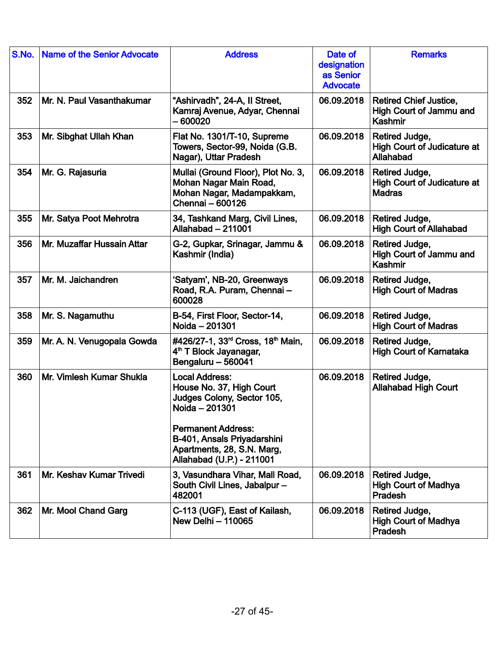| S.No. | <b>Name of the Senior Advocate</b> | <b>Address</b>                                                                                                                                                                                                           | Date of<br>designation<br>as Senior<br><b>Advocate</b> | <b>Remarks</b>                                                           |
|-------|------------------------------------|--------------------------------------------------------------------------------------------------------------------------------------------------------------------------------------------------------------------------|--------------------------------------------------------|--------------------------------------------------------------------------|
| 352   | Mr. N. Paul Vasanthakumar          | "Ashirvadh", 24-A, II Street,<br>Kamraj Avenue, Adyar, Chennai<br>- 600020                                                                                                                                               | 06.09.2018                                             | <b>Retired Chief Justice,</b><br>High Court of Jammu and<br>Kashmir      |
| 353   | Mr. Sibghat Ullah Khan             | Flat No. 1301/T-10, Supreme<br>Towers, Sector-99, Noida (G.B.<br>Nagar), Uttar Pradesh                                                                                                                                   | 06.09.2018                                             | Retired Judge,<br><b>High Court of Judicature at</b><br><b>Allahabad</b> |
| 354   | Mr. G. Rajasuria                   | Mullai (Ground Floor), Plot No. 3,<br>Mohan Nagar Main Road,<br>Mohan Nagar, Madampakkam,<br>Chennai - 600126                                                                                                            | 06.09.2018                                             | Retired Judge,<br><b>High Court of Judicature at</b><br><b>Madras</b>    |
| 355   | Mr. Satya Poot Mehrotra            | 34, Tashkand Marg, Civil Lines,<br>Allahabad - 211001                                                                                                                                                                    | 06.09.2018                                             | Retired Judge,<br><b>High Court of Allahabad</b>                         |
| 356   | Mr. Muzaffar Hussain Attar         | G-2, Gupkar, Srinagar, Jammu &<br>Kashmir (India)                                                                                                                                                                        | 06.09.2018                                             | Retired Judge,<br>High Court of Jammu and<br>Kashmir                     |
| 357   | Mr. M. Jaichandren                 | 'Satyam', NB-20, Greenways<br>Road, R.A. Puram, Chennai-<br>600028                                                                                                                                                       | 06.09.2018                                             | Retired Judge,<br><b>High Court of Madras</b>                            |
| 358   | Mr. S. Nagamuthu                   | B-54, First Floor, Sector-14,<br>Noida - 201301                                                                                                                                                                          | 06.09.2018                                             | Retired Judge,<br><b>High Court of Madras</b>                            |
| 359   | Mr. A. N. Venugopala Gowda         | #426/27-1, 33 <sup>rd</sup> Cross, 18 <sup>th</sup> Main,<br>4 <sup>th</sup> T Block Jayanagar,<br>Bengaluru - 560041                                                                                                    | 06.09.2018                                             | Retired Judge,<br><b>High Court of Karnataka</b>                         |
| 360   | Mr. Vimlesh Kumar Shukla           | <b>Local Address:</b><br>House No. 37, High Court<br>Judges Colony, Sector 105,<br>Noida - 201301<br><b>Permanent Address:</b><br>B-401, Ansals Priyadarshini<br>Apartments, 28, S.N. Marg,<br>Allahabad (U.P.) - 211001 | 06.09.2018                                             | Retired Judge,<br><b>Allahabad High Court</b>                            |
| 361   | Mr. Keshav Kumar Trivedi           | 3, Vasundhara Vihar, Mall Road,<br>South Civil Lines, Jabalpur-<br>482001                                                                                                                                                | 06.09.2018                                             | Retired Judge,<br><b>High Court of Madhya</b><br>Pradesh                 |
| 362   | Mr. Mool Chand Garg                | C-113 (UGF), East of Kailash,<br><b>New Delhi - 110065</b>                                                                                                                                                               | 06.09.2018                                             | Retired Judge,<br><b>High Court of Madhya</b><br>Pradesh                 |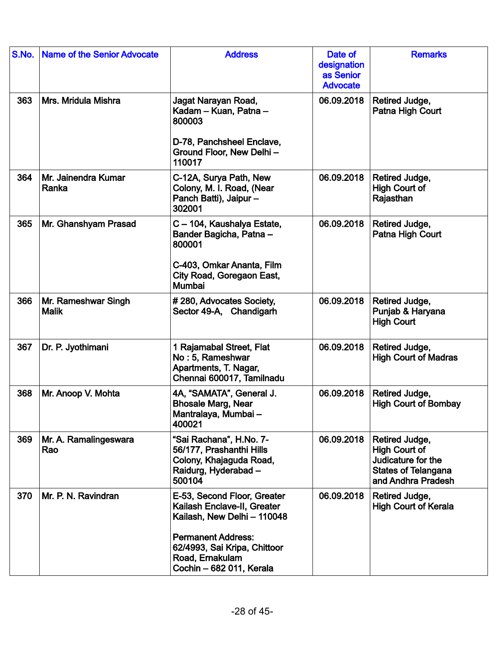| S.No. | <b>Name of the Senior Advocate</b>  | <b>Address</b>                                                                                                  | Date of<br>designation<br>as Senior<br><b>Advocate</b> | <b>Remarks</b>                                                                                                   |
|-------|-------------------------------------|-----------------------------------------------------------------------------------------------------------------|--------------------------------------------------------|------------------------------------------------------------------------------------------------------------------|
| 363   | Mrs. Mridula Mishra                 | Jagat Narayan Road,<br>Kadam - Kuan, Patna -<br>800003                                                          | 06.09.2018                                             | Retired Judge,<br>Patna High Court                                                                               |
|       |                                     | D-78, Panchsheel Enclave,<br>Ground Floor, New Delhi-<br>110017                                                 |                                                        |                                                                                                                  |
| 364   | Mr. Jainendra Kumar<br>Ranka        | C-12A, Surya Path, New<br>Colony, M. I. Road, (Near<br>Panch Batti), Jaipur-<br>302001                          | 06.09.2018                                             | Retired Judge,<br><b>High Court of</b><br>Rajasthan                                                              |
| 365   | Mr. Ghanshyam Prasad                | C - 104, Kaushalya Estate,<br>Bander Bagicha, Patna -<br>800001                                                 | 06.09.2018                                             | Retired Judge,<br>Patna High Court                                                                               |
|       |                                     | C-403, Omkar Ananta, Film<br>City Road, Goregaon East,<br>Mumbai                                                |                                                        |                                                                                                                  |
| 366   | Mr. Rameshwar Singh<br><b>Malik</b> | #280, Advocates Society,<br>Sector 49-A, Chandigarh                                                             | 06.09.2018                                             | Retired Judge,<br>Punjab & Haryana<br><b>High Court</b>                                                          |
| 367   | Dr. P. Jyothimani                   | 1 Rajamabal Street, Flat<br>No: 5, Rameshwar<br>Apartments, T. Nagar,<br>Chennai 600017, Tamilnadu              | 06.09.2018                                             | Retired Judge,<br><b>High Court of Madras</b>                                                                    |
| 368   | Mr. Anoop V. Mohta                  | 4A, "SAMATA", General J.<br><b>Bhosale Marg, Near</b><br>Mantralaya, Mumbai -<br>400021                         | 06.09.2018                                             | Retired Judge,<br><b>High Court of Bombay</b>                                                                    |
| 369   | Mr. A. Ramalingeswara<br>Rao        | "Sai Rachana", H.No. 7-<br>56/177, Prashanthi Hills<br>Colony, Khajaguda Road,<br>Raidurg, Hyderabad-<br>500104 | 06.09.2018                                             | Retired Judge,<br><b>High Court of</b><br>Judicature for the<br><b>States of Telangana</b><br>and Andhra Pradesh |
| 370   | Mr. P. N. Ravindran                 | E-53, Second Floor, Greater<br>Kailash Enclave-II, Greater<br>Kailash, New Delhi - 110048                       | 06.09.2018                                             | Retired Judge,<br><b>High Court of Kerala</b>                                                                    |
|       |                                     | <b>Permanent Address:</b><br>62/4993, Sai Kripa, Chittoor<br>Road, Ernakulam<br>Cochin - 682 011, Kerala        |                                                        |                                                                                                                  |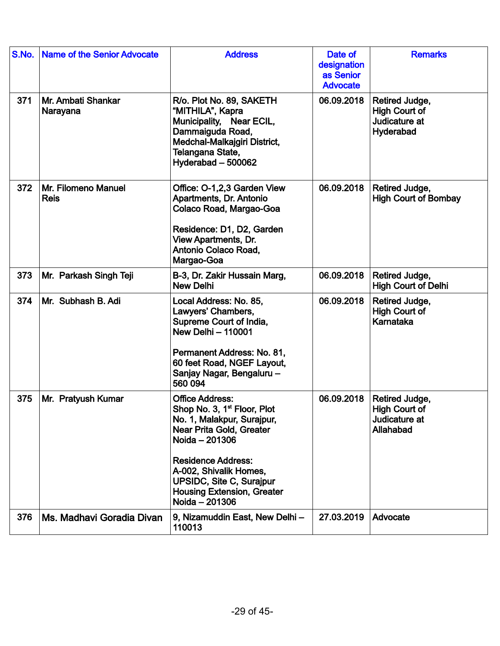| S.No. | <b>Name of the Senior Advocate</b> | <b>Address</b>                                                                                                                                                                                                                                                                                 | Date of<br>designation<br>as Senior<br><b>Advocate</b> | <b>Remarks</b>                                                       |
|-------|------------------------------------|------------------------------------------------------------------------------------------------------------------------------------------------------------------------------------------------------------------------------------------------------------------------------------------------|--------------------------------------------------------|----------------------------------------------------------------------|
| 371   | Mr. Ambati Shankar<br>Narayana     | R/o. Plot No. 89, SAKETH<br>"MITHILA", Kapra<br>Municipality, Near ECIL,<br>Dammaiguda Road,<br>Medchal-Malkajgiri District,<br>Telangana State,<br>Hyderabad - 500062                                                                                                                         | 06.09.2018                                             | Retired Judge,<br><b>High Court of</b><br>Judicature at<br>Hyderabad |
| 372   | Mr. Filomeno Manuel<br><b>Reis</b> | Office: O-1,2,3 Garden View<br>Apartments, Dr. Antonio<br>Colaco Road, Margao-Goa<br>Residence: D1, D2, Garden<br><b>View Apartments, Dr.</b><br>Antonio Colaco Road,<br>Margao-Goa                                                                                                            | 06.09.2018                                             | Retired Judge,<br><b>High Court of Bombay</b>                        |
| 373   | Mr. Parkash Singh Teji             | B-3, Dr. Zakir Hussain Marg,<br><b>New Delhi</b>                                                                                                                                                                                                                                               | 06.09.2018                                             | Retired Judge,<br><b>High Court of Delhi</b>                         |
| 374   | Mr. Subhash B. Adi                 | Local Address: No. 85,<br>Lawyers' Chambers,<br>Supreme Court of India,<br><b>New Delhi - 110001</b><br>Permanent Address: No. 81,<br>60 feet Road, NGEF Layout,<br>Sanjay Nagar, Bengaluru -<br>560 094                                                                                       | 06.09.2018                                             | Retired Judge,<br><b>High Court of</b><br>Karnataka                  |
| 375   | Mr. Pratyush Kumar                 | <b>Office Address:</b><br>Shop No. 3, 1 <sup>st</sup> Floor, Plot<br>No. 1, Malakpur, Surajpur,<br>Near Prita Gold, Greater<br>Noida - 201306<br><b>Residence Address:</b><br>A-002, Shivalik Homes,<br><b>UPSIDC, Site C, Surajpur</b><br><b>Housing Extension, Greater</b><br>Noida - 201306 | 06.09.2018                                             | Retired Judge,<br>High Court of<br>Judicature at<br>Allahabad        |
| 376   | Ms. Madhavi Goradia Divan          | 9, Nizamuddin East, New Delhi -<br>110013                                                                                                                                                                                                                                                      | 27.03.2019                                             | Advocate                                                             |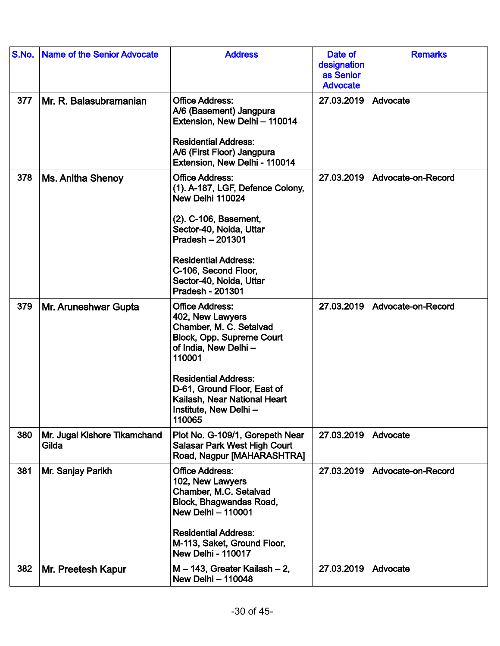| S.No. | <b>Name of the Senior Advocate</b>    | <b>Address</b>                                                                                                                                                                                                                                                        | Date of<br>designation<br>as Senior<br><b>Advocate</b> | <b>Remarks</b>     |
|-------|---------------------------------------|-----------------------------------------------------------------------------------------------------------------------------------------------------------------------------------------------------------------------------------------------------------------------|--------------------------------------------------------|--------------------|
| 377   | Mr. R. Balasubramanian                | <b>Office Address:</b><br>A/6 (Basement) Jangpura<br>Extension, New Delhi - 110014<br><b>Residential Address:</b><br>A/6 (First Floor) Jangpura<br>Extension, New Delhi - 110014                                                                                      | 27.03.2019                                             | Advocate           |
| 378   | <b>Ms. Anitha Shenoy</b>              | <b>Office Address:</b><br>(1). A-187, LGF, Defence Colony,<br>New Delhi 110024<br>(2). C-106, Basement,<br>Sector-40, Noida, Uttar<br>Pradesh - 201301<br><b>Residential Address:</b><br>C-106, Second Floor,<br>Sector-40, Noida, Uttar<br>Pradesh - 201301          | 27.03.2019                                             | Advocate-on-Record |
| 379   | Mr. Aruneshwar Gupta                  | <b>Office Address:</b><br>402, New Lawyers<br>Chamber, M. C. Setalvad<br>Block, Opp. Supreme Court<br>of India, New Delhi-<br>110001<br><b>Residential Address:</b><br>D-61, Ground Floor, East of<br>Kailash, Near National Heart<br>Institute, New Delhi-<br>110065 | 27.03.2019                                             | Advocate-on-Record |
| 380   | Mr. Jugal Kishore Tikamchand<br>Gilda | Plot No. G-109/1, Gorepeth Near<br><b>Salasar Park West High Court</b><br>Road, Nagpur [MAHARASHTRA]                                                                                                                                                                  | 27.03.2019                                             | Advocate           |
| 381   | Mr. Sanjay Parikh                     | <b>Office Address:</b><br>102, New Lawyers<br>Chamber, M.C. Setalvad<br>Block, Bhagwandas Road,<br><b>New Delhi - 110001</b><br><b>Residential Address:</b><br>M-113, Saket, Ground Floor,<br><b>New Delhi - 110017</b>                                               | 27.03.2019                                             | Advocate-on-Record |
| 382   | Mr. Preetesh Kapur                    | $M - 143$ , Greater Kailash $-2$ ,<br><b>New Delhi - 110048</b>                                                                                                                                                                                                       | 27.03.2019                                             | Advocate           |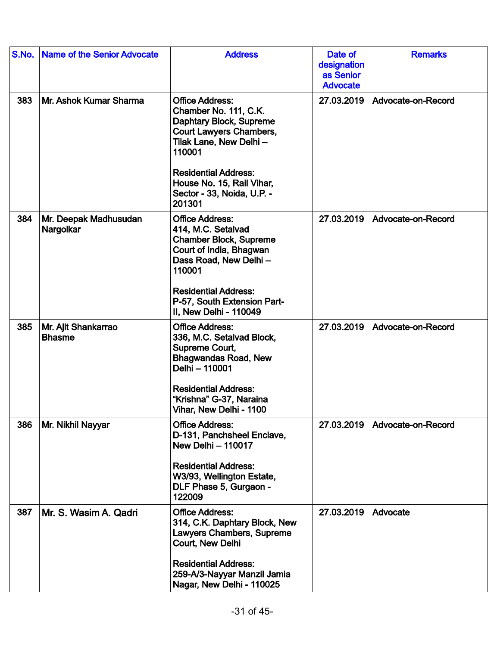| S.No. | <b>Name of the Senior Advocate</b>   | <b>Address</b>                                                                                                                                                                                                                                        | Date of<br>designation<br>as Senior<br><b>Advocate</b> | <b>Remarks</b>     |
|-------|--------------------------------------|-------------------------------------------------------------------------------------------------------------------------------------------------------------------------------------------------------------------------------------------------------|--------------------------------------------------------|--------------------|
| 383   | Mr. Ashok Kumar Sharma               | <b>Office Address:</b><br>Chamber No. 111, C.K.<br>Daphtary Block, Supreme<br><b>Court Lawyers Chambers,</b><br>Tilak Lane, New Delhi -<br>110001<br><b>Residential Address:</b><br>House No. 15, Rail Vihar,<br>Sector - 33, Noida, U.P. -<br>201301 | 27.03.2019                                             | Advocate-on-Record |
| 384   | Mr. Deepak Madhusudan<br>Nargolkar   | <b>Office Address:</b><br>414, M.C. Setalvad<br><b>Chamber Block, Supreme</b><br>Court of India, Bhagwan<br>Dass Road, New Delhi-<br>110001<br><b>Residential Address:</b><br>P-57, South Extension Part-<br>II. New Delhi - 110049                   | 27.03.2019                                             | Advocate-on-Record |
| 385   | Mr. Ajit Shankarrao<br><b>Bhasme</b> | <b>Office Address:</b><br>336, M.C. Setalvad Block,<br>Supreme Court,<br><b>Bhagwandas Road, New</b><br>Delhi - 110001<br><b>Residential Address:</b><br>"Krishna" G-37, Naraina<br>Vihar, New Delhi - 1100                                           | 27.03.2019                                             | Advocate-on-Record |
| 386   | Mr. Nikhil Nayyar                    | <b>Office Address:</b><br>D-131, Panchsheel Enclave,<br><b>New Delhi - 110017</b><br><b>Residential Address:</b><br>W3/93, Wellington Estate,<br>DLF Phase 5, Gurgaon -<br>122009                                                                     | 27.03.2019                                             | Advocate-on-Record |
| 387   | Mr. S. Wasim A. Qadri                | <b>Office Address:</b><br>314, C.K. Daphtary Block, New<br>Lawyers Chambers, Supreme<br>Court, New Delhi<br><b>Residential Address:</b><br>259-A/3-Nayyar Manzil Jamia<br>Nagar, New Delhi - 110025                                                   | 27.03.2019                                             | Advocate           |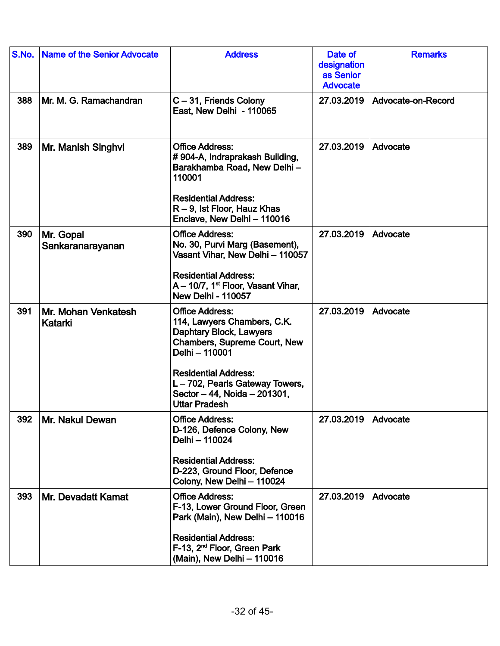| S.No. | Name of the Senior Advocate    | <b>Address</b>                                                                                                                                                                                                                                             | Date of<br>designation<br>as Senior<br><b>Advocate</b> | <b>Remarks</b>     |
|-------|--------------------------------|------------------------------------------------------------------------------------------------------------------------------------------------------------------------------------------------------------------------------------------------------------|--------------------------------------------------------|--------------------|
| 388   | Mr. M. G. Ramachandran         | C-31, Friends Colony<br>East, New Delhi - 110065                                                                                                                                                                                                           | 27.03.2019                                             | Advocate-on-Record |
| 389   | Mr. Manish Singhvi             | <b>Office Address:</b><br>#904-A, Indraprakash Building,<br>Barakhamba Road, New Delhi-<br>110001<br><b>Residential Address:</b><br>$R - 9$ , lst Floor, Hauz Khas<br>Enclave, New Delhi - 110016                                                          | 27.03.2019                                             | Advocate           |
| 390   | Mr. Gopal<br>Sankaranarayanan  | <b>Office Address:</b><br>No. 30, Purvi Marg (Basement),<br>Vasant Vihar, New Delhi - 110057<br><b>Residential Address:</b><br>A - 10/7, 1 <sup>st</sup> Floor, Vasant Vihar,<br><b>New Delhi - 110057</b>                                                 | 27.03.2019                                             | Advocate           |
| 391   | Mr. Mohan Venkatesh<br>Katarki | <b>Office Address:</b><br>114, Lawyers Chambers, C.K.<br>Daphtary Block, Lawyers<br>Chambers, Supreme Court, New<br>Delhi - 110001<br><b>Residential Address:</b><br>L-702, Pearls Gateway Towers,<br>Sector - 44, Noida - 201301,<br><b>Uttar Pradesh</b> | 27.03.2019                                             | Advocate           |
| 392   | Mr. Nakul Dewan                | <b>Office Address:</b><br>D-126, Defence Colony, New<br>Delhi - 110024<br><b>Residential Address:</b><br>D-223, Ground Floor, Defence<br>Colony, New Delhi - 110024                                                                                        | 27.03.2019                                             | Advocate           |
| 393   | Mr. Devadatt Kamat             | <b>Office Address:</b><br>F-13, Lower Ground Floor, Green<br>Park (Main), New Delhi - 110016<br><b>Residential Address:</b><br>F-13, 2 <sup>nd</sup> Floor, Green Park<br>(Main), New Delhi - 110016                                                       | 27.03.2019                                             | Advocate           |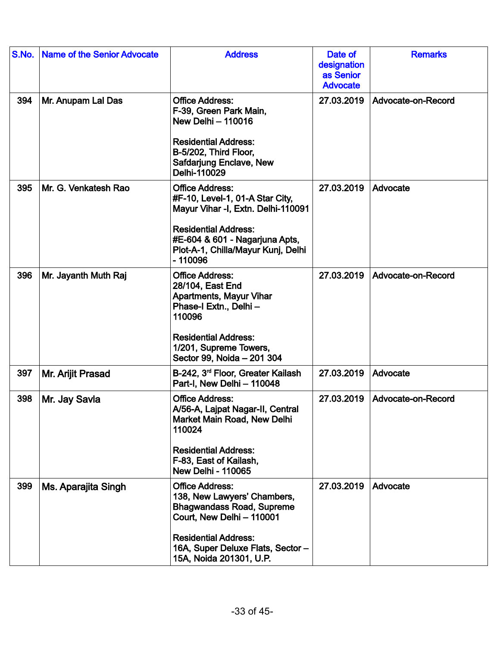| S.No. | <b>Name of the Senior Advocate</b> | <b>Address</b>                                                                                                                                                                                                        | Date of<br>designation<br>as Senior<br><b>Advocate</b> | <b>Remarks</b>     |
|-------|------------------------------------|-----------------------------------------------------------------------------------------------------------------------------------------------------------------------------------------------------------------------|--------------------------------------------------------|--------------------|
| 394   | Mr. Anupam Lal Das                 | <b>Office Address:</b><br>F-39, Green Park Main,<br><b>New Delhi - 110016</b><br><b>Residential Address:</b><br>B-5/202, Third Floor,<br>Safdarjung Enclave, New<br>Delhi-110029                                      | 27.03.2019                                             | Advocate-on-Record |
| 395   | Mr. G. Venkatesh Rao               | <b>Office Address:</b><br>#F-10, Level-1, 01-A Star City,<br>Mayur Vihar -I, Extn. Delhi-110091<br><b>Residential Address:</b><br>#E-604 & 601 - Nagarjuna Apts,<br>Plot-A-1, Chilla/Mayur Kunj, Delhi<br>$-110096$   | 27.03.2019                                             | Advocate           |
| 396   | Mr. Jayanth Muth Raj               | <b>Office Address:</b><br>28/104, East End<br><b>Apartments, Mayur Vihar</b><br>Phase-I Extn., Delhi -<br>110096<br><b>Residential Address:</b><br>1/201, Supreme Towers,<br>Sector 99, Noida - 201 304               | 27.03.2019                                             | Advocate-on-Record |
| 397   | Mr. Arijit Prasad                  | B-242, 3 <sup>rd</sup> Floor, Greater Kailash<br>Part-I, New Delhi - 110048                                                                                                                                           | 27.03.2019                                             | Advocate           |
| 398   | Mr. Jay Savla                      | <b>Office Address:</b><br>A/56-A, Lajpat Nagar-II, Central<br>Market Main Road, New Delhi<br>110024<br><b>Residential Address:</b><br>F-83, East of Kailash,<br><b>New Delhi - 110065</b>                             | 27.03.2019                                             | Advocate-on-Record |
| 399   | Ms. Aparajita Singh                | <b>Office Address:</b><br>138, New Lawyers' Chambers,<br><b>Bhagwandass Road, Supreme</b><br>Court, New Delhi - 110001<br><b>Residential Address:</b><br>16A, Super Deluxe Flats, Sector -<br>15A, Noida 201301, U.P. | 27.03.2019                                             | Advocate           |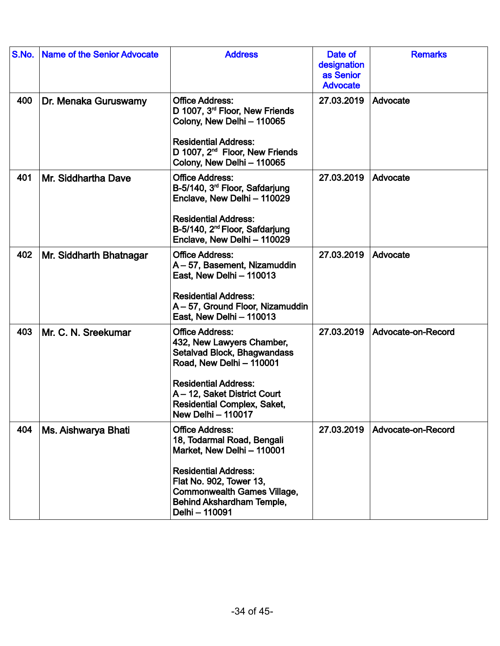| S.No. | <b>Name of the Senior Advocate</b> | <b>Address</b>                                                                                                                                                                                                                                   | Date of<br>designation<br>as Senior<br><b>Advocate</b> | <b>Remarks</b>     |
|-------|------------------------------------|--------------------------------------------------------------------------------------------------------------------------------------------------------------------------------------------------------------------------------------------------|--------------------------------------------------------|--------------------|
| 400   | Dr. Menaka Guruswamy               | <b>Office Address:</b><br>D 1007, 3 <sup>rd</sup> Floor, New Friends<br>Colony, New Delhi - 110065<br><b>Residential Address:</b><br>D 1007, 2 <sup>nd</sup> Floor, New Friends<br>Colony, New Delhi - 110065                                    | 27.03.2019                                             | Advocate           |
| 401   | Mr. Siddhartha Dave                | <b>Office Address:</b><br>B-5/140, 3 <sup>rd</sup> Floor, Safdarjung<br>Enclave, New Delhi - 110029<br><b>Residential Address:</b><br>B-5/140, 2 <sup>nd</sup> Floor, Safdarjung<br>Enclave, New Delhi - 110029                                  | 27.03.2019                                             | Advocate           |
| 402   | Mr. Siddharth Bhatnagar            | <b>Office Address:</b><br>A - 57, Basement, Nizamuddin<br>East, New Delhi - 110013<br><b>Residential Address:</b><br>A - 57, Ground Floor, Nizamuddin<br>East, New Delhi - 110013                                                                | 27.03.2019                                             | Advocate           |
| 403   | Mr. C. N. Sreekumar                | <b>Office Address:</b><br>432, New Lawyers Chamber,<br>Setalvad Block, Bhagwandass<br>Road, New Delhi - 110001<br><b>Residential Address:</b><br>A - 12, Saket District Court<br><b>Residential Complex, Saket,</b><br><b>New Delhi - 110017</b> | 27.03.2019                                             | Advocate-on-Record |
| 404   | Ms. Aishwarya Bhati                | <b>Office Address:</b><br>18, Todarmal Road, Bengali<br>Market, New Delhi - 110001<br><b>Residential Address:</b><br>Flat No. 902, Tower 13,<br><b>Commonwealth Games Village,</b><br>Behind Akshardham Temple,<br>Delhi - 110091                | 27.03.2019                                             | Advocate-on-Record |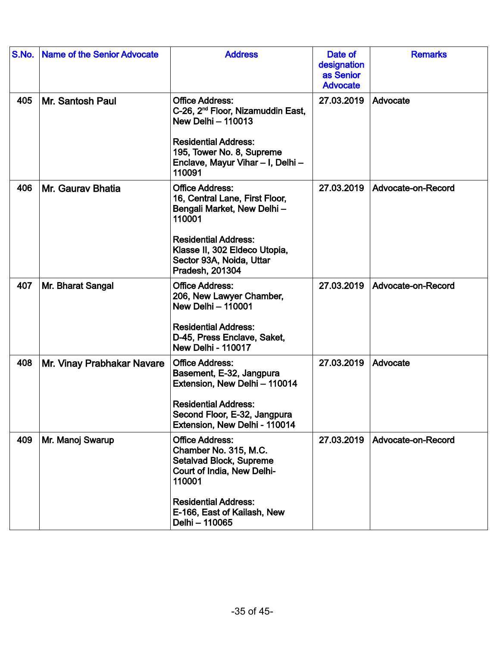| S.No. | <b>Name of the Senior Advocate</b> | <b>Address</b>                                                                                                                                                                                                  | Date of<br>designation<br>as Senior<br><b>Advocate</b> | <b>Remarks</b>     |
|-------|------------------------------------|-----------------------------------------------------------------------------------------------------------------------------------------------------------------------------------------------------------------|--------------------------------------------------------|--------------------|
| 405   | Mr. Santosh Paul                   | <b>Office Address:</b><br>C-26, 2 <sup>nd</sup> Floor, Nizamuddin East,<br><b>New Delhi - 110013</b><br><b>Residential Address:</b><br>195, Tower No. 8, Supreme<br>Enclave, Mayur Vihar - I, Delhi -<br>110091 | 27.03.2019                                             | Advocate           |
| 406   | Mr. Gauray Bhatia                  | <b>Office Address:</b><br>16, Central Lane, First Floor,<br>Bengali Market, New Delhi-<br>110001<br><b>Residential Address:</b><br>Klasse II, 302 Eldeco Utopia,<br>Sector 93A, Noida, Uttar<br>Pradesh, 201304 | 27.03.2019                                             | Advocate-on-Record |
| 407   | Mr. Bharat Sangal                  | <b>Office Address:</b><br>206, New Lawyer Chamber,<br><b>New Delhi - 110001</b><br><b>Residential Address:</b><br>D-45, Press Enclave, Saket,<br><b>New Delhi - 110017</b>                                      | 27.03.2019                                             | Advocate-on-Record |
| 408   | Mr. Vinay Prabhakar Navare         | <b>Office Address:</b><br>Basement, E-32, Jangpura<br>Extension, New Delhi - 110014<br><b>Residential Address:</b><br>Second Floor, E-32, Jangpura<br>Extension, New Delhi - 110014                             | 27.03.2019                                             | Advocate           |
| 409   | Mr. Manoj Swarup                   | <b>Office Address:</b><br>Chamber No. 315, M.C.<br>Setalvad Block, Supreme<br>Court of India, New Delhi-<br>110001<br><b>Residential Address:</b><br>E-166, East of Kailash, New<br>Delhi - 110065              | 27.03.2019                                             | Advocate-on-Record |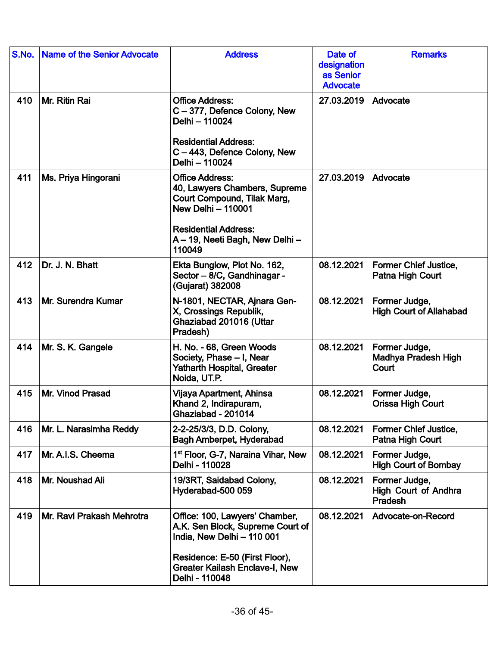| S.No. | <b>Name of the Senior Advocate</b> | <b>Address</b>                                                                                                                                                                                  | Date of<br>designation<br>as Senior<br><b>Advocate</b> | <b>Remarks</b>                                          |
|-------|------------------------------------|-------------------------------------------------------------------------------------------------------------------------------------------------------------------------------------------------|--------------------------------------------------------|---------------------------------------------------------|
| 410   | Mr. Ritin Rai                      | <b>Office Address:</b><br>C-377, Defence Colony, New<br>Delhi - 110024<br><b>Residential Address:</b><br>C-443, Defence Colony, New<br>Delhi - 110024                                           | 27.03.2019                                             | Advocate                                                |
| 411   | Ms. Priya Hingorani                | <b>Office Address:</b><br>40, Lawyers Chambers, Supreme<br>Court Compound, Tilak Marg,<br><b>New Delhi - 110001</b><br><b>Residential Address:</b><br>A - 19, Neeti Bagh, New Delhi -<br>110049 | 27.03.2019                                             | Advocate                                                |
| 412   | Dr. J. N. Bhatt                    | Ekta Bunglow, Plot No. 162,<br>Sector - 8/C, Gandhinagar -<br>(Gujarat) 382008                                                                                                                  | 08.12.2021                                             | <b>Former Chief Justice,</b><br>Patna High Court        |
| 413   | Mr. Surendra Kumar                 | N-1801, NECTAR, Ajnara Gen-<br>X, Crossings Republik,<br>Ghaziabad 201016 (Uttar<br>Pradesh)                                                                                                    | 08.12.2021                                             | Former Judge,<br><b>High Court of Allahabad</b>         |
| 414   | Mr. S. K. Gangele                  | H. No. - 68, Green Woods<br>Society, Phase - I, Near<br><b>Yatharth Hospital, Greater</b><br>Noida, UT.P.                                                                                       | 08.12.2021                                             | Former Judge,<br>Madhya Pradesh High<br>Court           |
| 415   | Mr. Vinod Prasad                   | Vijaya Apartment, Ahinsa<br>Khand 2, Indirapuram,<br>Ghaziabad - 201014                                                                                                                         | 08.12.2021                                             | Former Judge,<br><b>Orissa High Court</b>               |
| 416   | Mr. L. Narasimha Reddy             | 2-2-25/3/3, D.D. Colony,<br><b>Bagh Amberpet, Hyderabad</b>                                                                                                                                     | 08.12.2021                                             | <b>Former Chief Justice,</b><br>Patna High Court        |
| 417   | Mr. A.I.S. Cheema                  | 1 <sup>st</sup> Floor, G-7, Naraina Vihar, New<br>Delhi - 110028                                                                                                                                | 08.12.2021                                             | Former Judge,<br><b>High Court of Bombay</b>            |
| 418   | Mr. Noushad Ali                    | 19/3RT, Saidabad Colony,<br>Hyderabad-500 059                                                                                                                                                   | 08.12.2021                                             | Former Judge,<br><b>High Court of Andhra</b><br>Pradesh |
| 419   | Mr. Ravi Prakash Mehrotra          | Office: 100, Lawyers' Chamber,<br>A.K. Sen Block, Supreme Court of<br>India, New Delhi - 110 001<br>Residence: E-50 (First Floor),<br><b>Greater Kailash Enclave-I, New</b><br>Delhi - 110048   | 08.12.2021                                             | Advocate-on-Record                                      |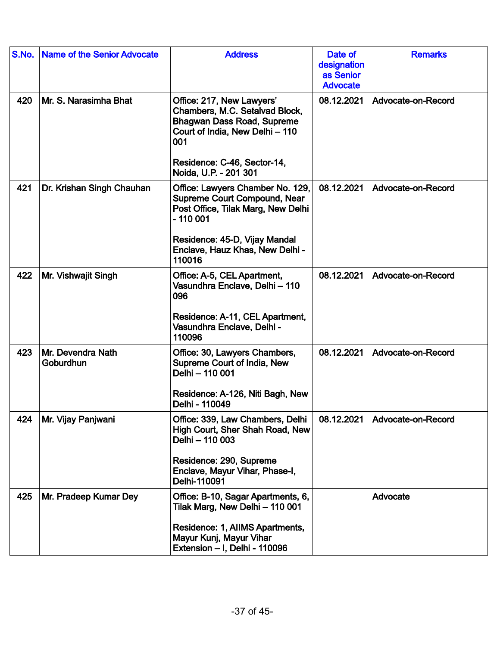| S.No. | <b>Name of the Senior Advocate</b> | <b>Address</b>                                                                                                                                                                                           | Date of<br>designation<br>as Senior<br><b>Advocate</b> | <b>Remarks</b>     |
|-------|------------------------------------|----------------------------------------------------------------------------------------------------------------------------------------------------------------------------------------------------------|--------------------------------------------------------|--------------------|
| 420   | Mr. S. Narasimha Bhat              | Office: 217, New Lawyers'<br>Chambers, M.C. Setalvad Block,<br><b>Bhagwan Dass Road, Supreme</b><br>Court of India, New Delhi - 110<br>001<br>Residence: C-46, Sector-14,<br>Noida, U.P. - 201 301       | 08.12.2021                                             | Advocate-on-Record |
| 421   | Dr. Krishan Singh Chauhan          | Office: Lawyers Chamber No. 129,<br><b>Supreme Court Compound, Near</b><br>Post Office, Tilak Marg, New Delhi<br>$-110001$<br>Residence: 45-D, Vijay Mandal<br>Enclave, Hauz Khas, New Delhi -<br>110016 | 08.12.2021                                             | Advocate-on-Record |
| 422   | Mr. Vishwajit Singh                | Office: A-5, CEL Apartment,<br>Vasundhra Enclave, Delhi - 110<br>096<br>Residence: A-11, CEL Apartment,<br>Vasundhra Enclave, Delhi -<br>110096                                                          | 08.12.2021                                             | Advocate-on-Record |
| 423   | Mr. Devendra Nath<br>Goburdhun     | Office: 30, Lawyers Chambers,<br>Supreme Court of India, New<br>Delhi - 110 001<br>Residence: A-126, Niti Bagh, New<br>Delhi - 110049                                                                    | 08.12.2021                                             | Advocate-on-Record |
| 424   | Mr. Vijay Panjwani                 | Office: 339, Law Chambers, Delhi<br>High Court, Sher Shah Road, New<br>Delhi - 110 003<br>Residence: 290, Supreme<br>Enclave, Mayur Vihar, Phase-I,<br>Delhi-110091                                      | 08.12.2021                                             | Advocate-on-Record |
| 425   | Mr. Pradeep Kumar Dey              | Office: B-10, Sagar Apartments, 6,<br>Tilak Marg, New Delhi - 110 001<br>Residence: 1, AlIMS Apartments,<br>Mayur Kunj, Mayur Vihar<br>Extension - I, Delhi - 110096                                     |                                                        | Advocate           |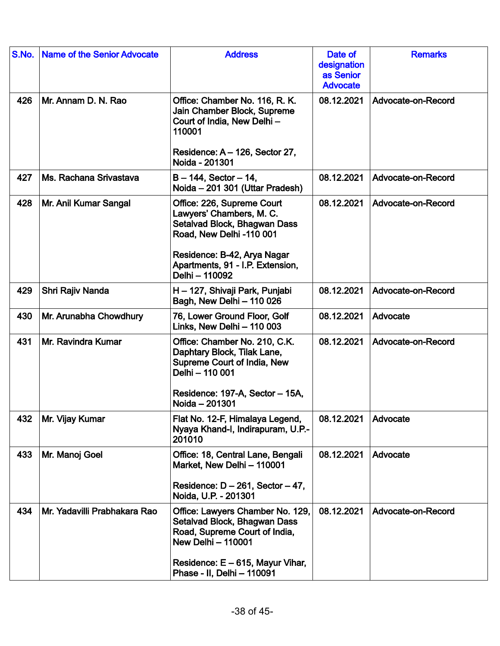| S.No. | <b>Name of the Senior Advocate</b> | <b>Address</b>                                                                                                                                                                                      | Date of<br>designation<br>as Senior<br><b>Advocate</b> | <b>Remarks</b>     |
|-------|------------------------------------|-----------------------------------------------------------------------------------------------------------------------------------------------------------------------------------------------------|--------------------------------------------------------|--------------------|
| 426   | Mr. Annam D. N. Rao                | Office: Chamber No. 116, R. K.<br>Jain Chamber Block, Supreme<br>Court of India, New Delhi-<br>110001                                                                                               | 08.12.2021                                             | Advocate-on-Record |
|       |                                    | Residence: A - 126, Sector 27,<br>Noida - 201301                                                                                                                                                    |                                                        |                    |
| 427   | Ms. Rachana Srivastava             | $B - 144$ , Sector $-14$ ,<br>Noida - 201 301 (Uttar Pradesh)                                                                                                                                       | 08.12.2021                                             | Advocate-on-Record |
| 428   | Mr. Anil Kumar Sangal              | Office: 226, Supreme Court<br>Lawyers' Chambers, M. C.<br>Setalvad Block, Bhagwan Dass<br>Road, New Delhi -110 001<br>Residence: B-42, Arya Nagar<br>Apartments, 91 - I.P. Extension,               | 08.12.2021                                             | Advocate-on-Record |
| 429   | Shri Rajiv Nanda                   | Delhi - 110092<br>H - 127, Shivaji Park, Punjabi                                                                                                                                                    | 08.12.2021                                             | Advocate-on-Record |
|       |                                    | Bagh, New Delhi - 110 026                                                                                                                                                                           |                                                        |                    |
| 430   | Mr. Arunabha Chowdhury             | 76, Lower Ground Floor, Golf<br>Links, New Delhi - 110 003                                                                                                                                          | 08.12.2021                                             | Advocate           |
| 431   | Mr. Ravindra Kumar                 | Office: Chamber No. 210, C.K.<br>Daphtary Block, Tilak Lane,<br>Supreme Court of India, New<br>Delhi - 110 001<br>Residence: 197-A, Sector - 15A,<br>Noida - 201301                                 | 08.12.2021                                             | Advocate-on-Record |
| 432   | Mr. Vijay Kumar                    | Flat No. 12-F, Himalaya Legend,<br>Nyaya Khand-I, Indirapuram, U.P.-<br>201010                                                                                                                      | 08.12.2021                                             | Advocate           |
| 433   | Mr. Manoj Goel                     | Office: 18, Central Lane, Bengali<br>Market, New Delhi - 110001<br>Residence: $D - 261$ , Sector $-47$ ,<br>Noida, U.P. - 201301                                                                    | 08.12.2021                                             | Advocate           |
| 434   | Mr. Yadavilli Prabhakara Rao       | Office: Lawyers Chamber No. 129,<br>Setalvad Block, Bhagwan Dass<br>Road, Supreme Court of India,<br><b>New Delhi - 110001</b><br>Residence: $E - 615$ , Mayur Vihar,<br>Phase - II, Delhi - 110091 | 08.12.2021                                             | Advocate-on-Record |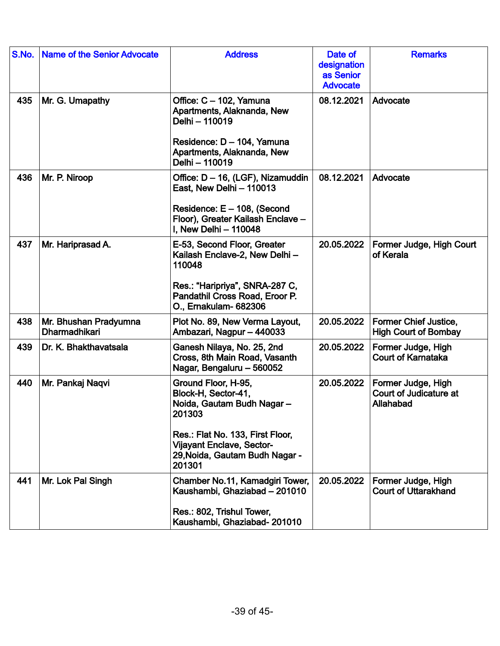| S.No. | <b>Name of the Senior Advocate</b>     | <b>Address</b>                                                                                                                                                                                        | Date of<br>designation<br>as Senior<br><b>Advocate</b> | <b>Remarks</b>                                              |
|-------|----------------------------------------|-------------------------------------------------------------------------------------------------------------------------------------------------------------------------------------------------------|--------------------------------------------------------|-------------------------------------------------------------|
| 435   | Mr. G. Umapathy                        | Office: C - 102, Yamuna<br>Apartments, Alaknanda, New<br>Delhi - 110019<br>Residence: D - 104, Yamuna<br>Apartments, Alaknanda, New<br>Delhi - 110019                                                 | 08.12.2021                                             | Advocate                                                    |
| 436   | Mr. P. Niroop                          | Office: D - 16, (LGF), Nizamuddin<br>East, New Delhi - 110013<br>Residence: E - 108, (Second<br>Floor), Greater Kailash Enclave -<br>I, New Delhi - 110048                                            | 08.12.2021                                             | Advocate                                                    |
| 437   | Mr. Hariprasad A.                      | E-53, Second Floor, Greater<br>Kailash Enclave-2, New Delhi -<br>110048<br>Res.: "Haripriya", SNRA-287 C,<br>Pandathil Cross Road, Eroor P.<br>O., Ernakulam- 682306                                  | 20.05.2022                                             | Former Judge, High Court<br>of Kerala                       |
| 438   | Mr. Bhushan Pradyumna<br>Dharmadhikari | Plot No. 89, New Verma Layout,<br>Ambazari, Nagpur - 440033                                                                                                                                           | 20.05.2022                                             | <b>Former Chief Justice,</b><br><b>High Court of Bombay</b> |
| 439   | Dr. K. Bhakthavatsala                  | Ganesh Nilaya, No. 25, 2nd<br>Cross, 8th Main Road, Vasanth<br>Nagar, Bengaluru - 560052                                                                                                              | 20.05.2022                                             | Former Judge, High<br><b>Court of Karnataka</b>             |
| 440   | Mr. Pankaj Nagvi                       | Ground Floor, H-95,<br>Block-H, Sector-41,<br>Noida, Gautam Budh Nagar-<br>201303<br>Res.: Flat No. 133, First Floor,<br><b>Vijayant Enclave, Sector-</b><br>29, Noida, Gautam Budh Nagar -<br>201301 | 20.05.2022                                             | Former Judge, High<br>Court of Judicature at<br>Allahabad   |
| 441   | Mr. Lok Pal Singh                      | Chamber No.11, Kamadgiri Tower,<br>Kaushambi, Ghaziabad - 201010<br>Res.: 802, Trishul Tower,<br>Kaushambi, Ghaziabad-201010                                                                          | 20.05.2022                                             | Former Judge, High<br><b>Court of Uttarakhand</b>           |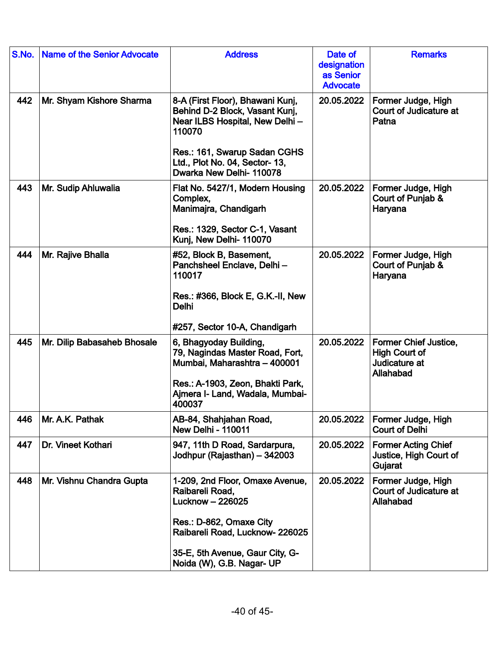| S.No. | <b>Name of the Senior Advocate</b> | <b>Address</b>                                                                                                  | Date of<br>designation<br>as Senior<br><b>Advocate</b> | <b>Remarks</b>                                                              |
|-------|------------------------------------|-----------------------------------------------------------------------------------------------------------------|--------------------------------------------------------|-----------------------------------------------------------------------------|
| 442   | Mr. Shyam Kishore Sharma           | 8-A (First Floor), Bhawani Kunj,<br>Behind D-2 Block, Vasant Kunj,<br>Near ILBS Hospital, New Delhi -<br>110070 | 20.05.2022                                             | Former Judge, High<br>Court of Judicature at<br>Patna                       |
|       |                                    | Res.: 161, Swarup Sadan CGHS<br>Ltd., Plot No. 04, Sector- 13,<br>Dwarka New Delhi- 110078                      |                                                        |                                                                             |
| 443   | Mr. Sudip Ahluwalia                | Flat No. 5427/1, Modern Housing<br>Complex,<br>Manimajra, Chandigarh                                            | 20.05.2022                                             | Former Judge, High<br>Court of Punjab &<br>Haryana                          |
|       |                                    | Res.: 1329, Sector C-1, Vasant<br>Kunj, New Delhi- 110070                                                       |                                                        |                                                                             |
| 444   | Mr. Rajive Bhalla                  | #52, Block B, Basement,<br>Panchsheel Enclave, Delhi-<br>110017                                                 | 20.05.2022                                             | Former Judge, High<br>Court of Punjab &<br>Haryana                          |
|       |                                    | Res.: #366, Block E, G.K.-II, New<br><b>Delhi</b>                                                               |                                                        |                                                                             |
|       |                                    | #257, Sector 10-A, Chandigarh                                                                                   |                                                        |                                                                             |
| 445   | Mr. Dilip Babasaheb Bhosale        | 6, Bhagyoday Building,<br>79, Nagindas Master Road, Fort,<br>Mumbai, Maharashtra - 400001                       | 20.05.2022                                             | Former Chief Justice,<br><b>High Court of</b><br>Judicature at<br>Allahabad |
|       |                                    | Res.: A-1903, Zeon, Bhakti Park,<br>Ajmera I- Land, Wadala, Mumbai-<br>400037                                   |                                                        |                                                                             |
| 446   | Mr. A.K. Pathak                    | AB-84, Shahjahan Road,<br><b>New Delhi - 110011</b>                                                             | 20.05.2022                                             | Former Judge, High<br><b>Court of Delhi</b>                                 |
| 447   | Dr. Vineet Kothari                 | 947, 11th D Road, Sardarpura,<br>Jodhpur (Rajasthan) - 342003                                                   | 20.05.2022                                             | <b>Former Acting Chief</b><br>Justice, High Court of<br>Gujarat             |
| 448   | Mr. Vishnu Chandra Gupta           | 1-209, 2nd Floor, Omaxe Avenue,<br>Raibareli Road,<br>Lucknow - 226025                                          | 20.05.2022                                             | Former Judge, High<br>Court of Judicature at<br>Allahabad                   |
|       |                                    | Res.: D-862, Omaxe City<br>Raibareli Road, Lucknow-226025                                                       |                                                        |                                                                             |
|       |                                    | 35-E, 5th Avenue, Gaur City, G-<br>Noida (W), G.B. Nagar- UP                                                    |                                                        |                                                                             |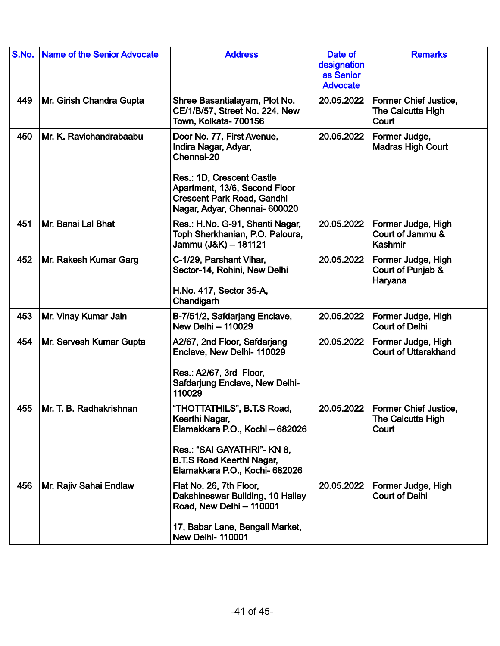| S.No. | <b>Name of the Senior Advocate</b> | <b>Address</b>                                                                                                                                                                                       | Date of<br>designation<br>as Senior<br><b>Advocate</b> | <b>Remarks</b>                                             |
|-------|------------------------------------|------------------------------------------------------------------------------------------------------------------------------------------------------------------------------------------------------|--------------------------------------------------------|------------------------------------------------------------|
| 449   | Mr. Girish Chandra Gupta           | Shree Basantialayam, Plot No.<br>CE/1/B/57, Street No. 224, New<br>Town, Kolkata- 700156                                                                                                             | 20.05.2022                                             | <b>Former Chief Justice,</b><br>The Calcutta High<br>Court |
| 450   | Mr. K. Ravichandrabaabu            | Door No. 77, First Avenue,<br>Indira Nagar, Adyar,<br>Chennai-20<br>Res.: 1D, Crescent Castle<br>Apartment, 13/6, Second Floor<br><b>Crescent Park Road, Gandhi</b><br>Nagar, Adyar, Chennai- 600020 | 20.05.2022                                             | Former Judge,<br><b>Madras High Court</b>                  |
| 451   | Mr. Bansi Lal Bhat                 | Res.: H.No. G-91, Shanti Nagar,<br>Toph Sherkhanian, P.O. Paloura,<br>Jammu (J&K) - 181121                                                                                                           | 20.05.2022                                             | Former Judge, High<br>Court of Jammu &<br>Kashmir          |
| 452   | Mr. Rakesh Kumar Garg              | C-1/29, Parshant Vihar,<br>Sector-14, Rohini, New Delhi<br>H.No. 417, Sector 35-A,<br>Chandigarh                                                                                                     | 20.05.2022                                             | Former Judge, High<br>Court of Punjab &<br>Haryana         |
| 453   | Mr. Vinay Kumar Jain               | B-7/51/2, Safdarjang Enclave,<br>New Delhi - 110029                                                                                                                                                  | 20.05.2022                                             | Former Judge, High<br><b>Court of Delhi</b>                |
| 454   | Mr. Servesh Kumar Gupta            | A2/67, 2nd Floor, Safdarjang<br>Enclave, New Delhi- 110029<br>Res.: A2/67, 3rd Floor,<br><b>Safdarjung Enclave, New Delhi-</b><br>110029                                                             | 20.05.2022                                             | Former Judge, High<br><b>Court of Uttarakhand</b>          |
| 455   | Mr. T. B. Radhakrishnan            | "THOTTATHILS", B.T.S Road,<br>Keerthi Nagar,<br>Elamakkara P.O., Kochi - 682026<br>Res.: "SAI GAYATHRI"- KN 8,<br><b>B.T.S Road Keerthi Nagar,</b><br>Elamakkara P.O., Kochi- 682026                 | 20.05.2022                                             | <b>Former Chief Justice.</b><br>The Calcutta High<br>Court |
| 456   | Mr. Rajiv Sahai Endlaw             | Flat No. 26, 7th Floor,<br>Dakshineswar Building, 10 Hailey<br>Road, New Delhi - 110001<br>17, Babar Lane, Bengali Market,<br><b>New Delhi-110001</b>                                                | 20.05.2022                                             | Former Judge, High<br><b>Court of Delhi</b>                |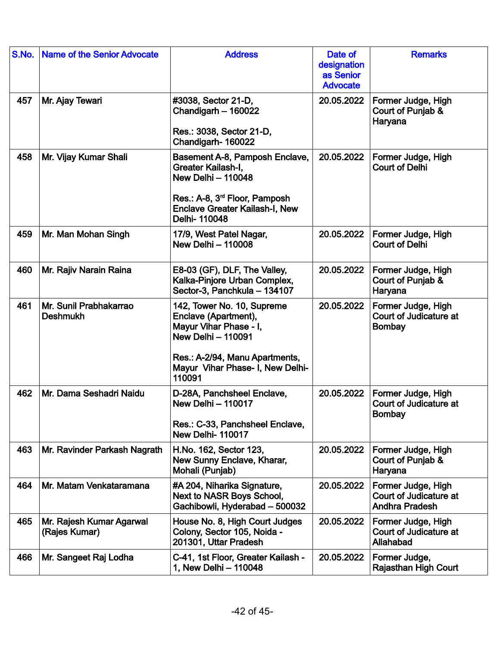| S.No. | <b>Name of the Senior Advocate</b>        | <b>Address</b>                                                                                                                                                                            | Date of<br>designation<br>as Senior<br><b>Advocate</b> | <b>Remarks</b>                                                        |
|-------|-------------------------------------------|-------------------------------------------------------------------------------------------------------------------------------------------------------------------------------------------|--------------------------------------------------------|-----------------------------------------------------------------------|
| 457   | Mr. Ajay Tewari                           | #3038, Sector 21-D,<br>Chandigarh - 160022<br>Res.: 3038, Sector 21-D,<br>Chandigarh-160022                                                                                               | 20.05.2022                                             | Former Judge, High<br>Court of Punjab &<br>Haryana                    |
| 458   | Mr. Vijay Kumar Shali                     | Basement A-8, Pamposh Enclave,<br>Greater Kailash-I,<br><b>New Delhi - 110048</b><br>Res.: A-8, 3 <sup>rd</sup> Floor, Pamposh<br><b>Enclave Greater Kailash-I, New</b><br>Delhi-110048   | 20.05.2022                                             | Former Judge, High<br><b>Court of Delhi</b>                           |
| 459   | Mr. Man Mohan Singh                       | 17/9, West Patel Nagar,<br><b>New Delhi - 110008</b>                                                                                                                                      | 20.05.2022                                             | Former Judge, High<br><b>Court of Delhi</b>                           |
| 460   | Mr. Rajiv Narain Raina                    | E8-03 (GF), DLF, The Valley,<br>Kalka-Pinjore Urban Complex,<br>Sector-3, Panchkula - 134107                                                                                              | 20.05.2022                                             | Former Judge, High<br>Court of Punjab &<br>Haryana                    |
| 461   | Mr. Sunil Prabhakarrao<br><b>Deshmukh</b> | 142, Tower No. 10, Supreme<br>Enclave (Apartment),<br>Mayur Vihar Phase - I,<br><b>New Delhi - 110091</b><br>Res.: A-2/94, Manu Apartments,<br>Mayur Vihar Phase- I, New Delhi-<br>110091 | 20.05.2022                                             | Former Judge, High<br>Court of Judicature at<br><b>Bombay</b>         |
| 462   | Mr. Dama Seshadri Naidu                   | D-28A, Panchsheel Enclave,<br><b>New Delhi - 110017</b><br>Res.: C-33, Panchsheel Enclave,<br><b>New Delhi-110017</b>                                                                     | 20.05.2022                                             | Former Judge, High<br>Court of Judicature at<br><b>Bombay</b>         |
| 463   | Mr. Ravinder Parkash Nagrath              | H.No. 162, Sector 123,<br>New Sunny Enclave, Kharar,<br>Mohali (Punjab)                                                                                                                   | 20.05.2022                                             | Former Judge, High<br>Court of Punjab &<br>Haryana                    |
| 464   | Mr. Matam Venkataramana                   | #A 204, Niharika Signature,<br>Next to NASR Boys School,<br>Gachibowli, Hyderabad - 500032                                                                                                | 20.05.2022                                             | Former Judge, High<br>Court of Judicature at<br><b>Andhra Pradesh</b> |
| 465   | Mr. Rajesh Kumar Agarwal<br>(Rajes Kumar) | House No. 8, High Court Judges<br>Colony, Sector 105, Noida -<br>201301, Uttar Pradesh                                                                                                    | 20.05.2022                                             | Former Judge, High<br>Court of Judicature at<br>Allahabad             |
| 466   | Mr. Sangeet Raj Lodha                     | C-41, 1st Floor, Greater Kailash -<br>1, New Delhi - 110048                                                                                                                               | 20.05.2022                                             | Former Judge,<br><b>Rajasthan High Court</b>                          |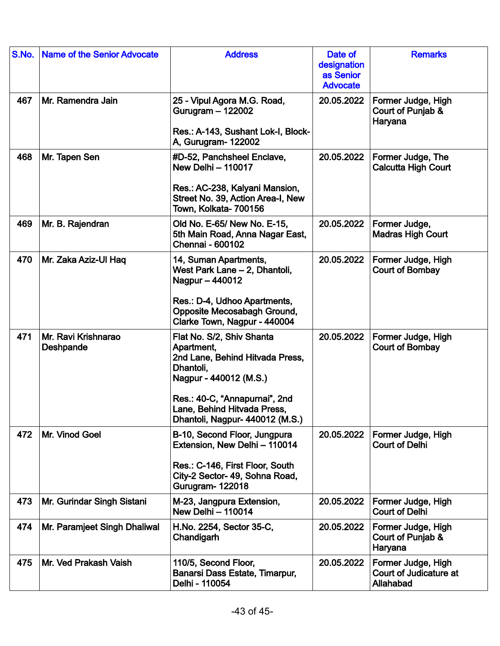| S.No. | <b>Name of the Senior Advocate</b> | <b>Address</b>                                                                                                                                                                                                       | Date of<br>designation<br>as Senior<br><b>Advocate</b> | <b>Remarks</b>                                            |
|-------|------------------------------------|----------------------------------------------------------------------------------------------------------------------------------------------------------------------------------------------------------------------|--------------------------------------------------------|-----------------------------------------------------------|
| 467   | Mr. Ramendra Jain                  | 25 - Vipul Agora M.G. Road,<br>Gurugram - 122002<br>Res.: A-143, Sushant Lok-I, Block-<br>A, Gurugram- 122002                                                                                                        | 20.05.2022                                             | Former Judge, High<br>Court of Punjab &<br>Haryana        |
| 468   | Mr. Tapen Sen                      | #D-52, Panchsheel Enclave,<br><b>New Delhi - 110017</b><br>Res.: AC-238, Kalyani Mansion,<br>Street No. 39, Action Area-I, New<br>Town, Kolkata- 700156                                                              | 20.05.2022                                             | Former Judge, The<br><b>Calcutta High Court</b>           |
| 469   | Mr. B. Rajendran                   | Old No. E-65/ New No. E-15,<br>5th Main Road, Anna Nagar East,<br>Chennai - 600102                                                                                                                                   | 20.05.2022                                             | Former Judge,<br><b>Madras High Court</b>                 |
| 470   | Mr. Zaka Aziz-Ul Haq               | 14, Suman Apartments,<br>West Park Lane - 2, Dhantoli,<br>Nagpur - 440012<br>Res.: D-4, Udhoo Apartments,<br>Opposite Mecosabagh Ground,<br>Clarke Town, Nagpur - 440004                                             | 20.05.2022                                             | Former Judge, High<br>Court of Bombay                     |
| 471   | Mr. Ravi Krishnarao<br>Deshpande   | Flat No. S/2, Shiv Shanta<br>Apartment,<br>2nd Lane, Behind Hitvada Press,<br>Dhantoli,<br>Nagpur - 440012 (M.S.)<br>Res.: 40-C, "Annapurnai", 2nd<br>Lane, Behind Hitvada Press.<br>Dhantoli, Nagpur- 440012 (M.S.) | 20.05.2022                                             | Former Judge, High<br><b>Court of Bombay</b>              |
| 472   | Mr. Vinod Goel                     | B-10, Second Floor, Jungpura<br>Extension, New Delhi - 110014<br>Res.: C-146, First Floor, South<br>City-2 Sector- 49, Sohna Road,<br>Gurugram- 122018                                                               | 20.05.2022                                             | Former Judge, High<br><b>Court of Delhi</b>               |
| 473   | Mr. Gurindar Singh Sistani         | M-23, Jangpura Extension,<br><b>New Delhi - 110014</b>                                                                                                                                                               | 20.05.2022                                             | Former Judge, High<br><b>Court of Delhi</b>               |
| 474   | Mr. Paramjeet Singh Dhaliwal       | H.No. 2254, Sector 35-C,<br>Chandigarh                                                                                                                                                                               | 20.05.2022                                             | Former Judge, High<br>Court of Punjab &<br>Haryana        |
| 475   | Mr. Ved Prakash Vaish              | 110/5, Second Floor,<br>Banarsi Dass Estate, Timarpur,<br>Delhi - 110054                                                                                                                                             | 20.05.2022                                             | Former Judge, High<br>Court of Judicature at<br>Allahabad |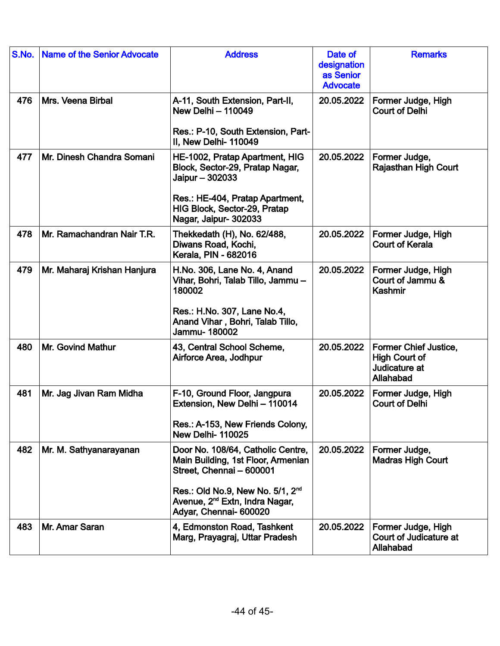| S.No. | <b>Name of the Senior Advocate</b> | <b>Address</b>                                                                                                                                                                                                              | Date of<br>designation<br>as Senior<br><b>Advocate</b> | <b>Remarks</b>                                                                     |
|-------|------------------------------------|-----------------------------------------------------------------------------------------------------------------------------------------------------------------------------------------------------------------------------|--------------------------------------------------------|------------------------------------------------------------------------------------|
| 476   | Mrs. Veena Birbal                  | A-11, South Extension, Part-II,<br><b>New Delhi - 110049</b><br>Res.: P-10, South Extension, Part-<br>II, New Delhi-110049                                                                                                  | 20.05.2022                                             | Former Judge, High<br><b>Court of Delhi</b>                                        |
| 477   | Mr. Dinesh Chandra Somani          | HE-1002, Pratap Apartment, HIG<br>Block, Sector-29, Pratap Nagar,<br>Jaipur - 302033<br>Res.: HE-404, Pratap Apartment,<br>HIG Block, Sector-29, Pratap<br>Nagar, Jaipur- 302033                                            | 20.05.2022                                             | Former Judge,<br><b>Rajasthan High Court</b>                                       |
| 478   | Mr. Ramachandran Nair T.R.         | Thekkedath (H), No. 62/488,<br>Diwans Road, Kochi,<br>Kerala, PIN - 682016                                                                                                                                                  | 20.05.2022                                             | Former Judge, High<br><b>Court of Kerala</b>                                       |
| 479   | Mr. Maharaj Krishan Hanjura        | H.No. 306, Lane No. 4, Anand<br>Vihar, Bohri, Talab Tillo, Jammu -<br>180002<br>Res.: H.No. 307, Lane No.4,<br>Anand Vihar, Bohri, Talab Tillo,<br>Jammu-180002                                                             | 20.05.2022                                             | Former Judge, High<br>Court of Jammu &<br>Kashmir                                  |
| 480   | Mr. Govind Mathur                  | 43, Central School Scheme,<br>Airforce Area, Jodhpur                                                                                                                                                                        | 20.05.2022                                             | <b>Former Chief Justice,</b><br><b>High Court of</b><br>Judicature at<br>Allahabad |
| 481   | Mr. Jag Jivan Ram Midha            | F-10, Ground Floor, Jangpura<br>Extension, New Delhi - 110014<br>Res.: A-153, New Friends Colony,<br><b>New Delhi-110025</b>                                                                                                | 20.05.2022                                             | Former Judge, High<br><b>Court of Delhi</b>                                        |
| 482   | Mr. M. Sathyanarayanan             | Door No. 108/64, Catholic Centre,<br>Main Building, 1st Floor, Armenian<br>Street, Chennai - 600001<br>Res.: Old No.9, New No. 5/1, 2 <sup>nd</sup><br>Avenue, 2 <sup>nd</sup> Extn, Indra Nagar,<br>Adyar, Chennai- 600020 | 20.05.2022                                             | Former Judge,<br><b>Madras High Court</b>                                          |
| 483   | Mr. Amar Saran                     | 4, Edmonston Road, Tashkent<br>Marg, Prayagraj, Uttar Pradesh                                                                                                                                                               | 20.05.2022                                             | Former Judge, High<br>Court of Judicature at<br>Allahabad                          |